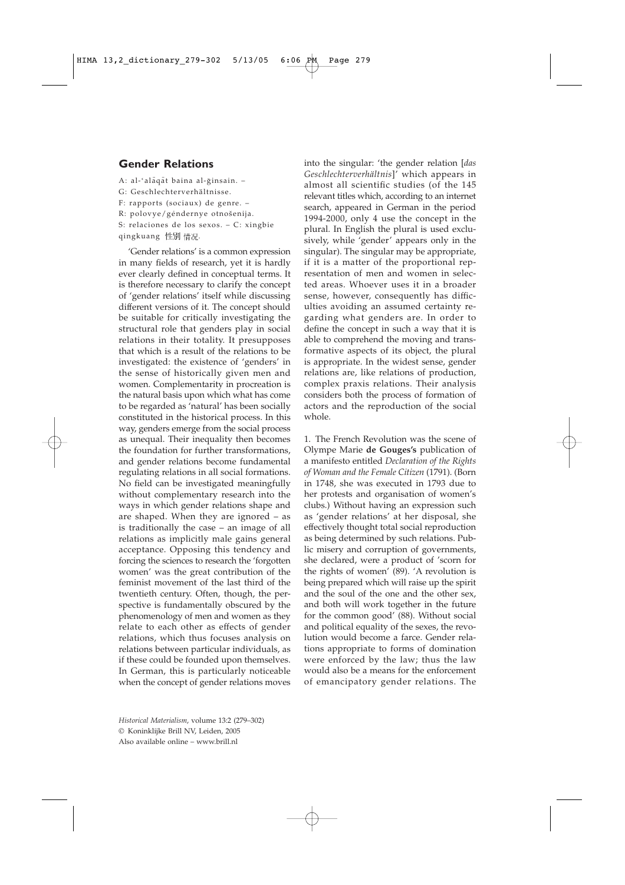# **Gender Relations**

A: al-'alaqat baina al-ğinsain. -G: Geschlechterverhältnisse. F: rapports (sociaux) de genre. – R: polovye/gendernye otnošenija. S: relaciones de los sexos. – C: xingbie qingkuang 性別 情况.

'Gender relations' is a common expression in many fields of research, yet it is hardly ever clearly defined in conceptual terms. It is therefore necessary to clarify the concept of 'gender relations' itself while discussing different versions of it. The concept should be suitable for critically investigating the structural role that genders play in social relations in their totality. It presupposes that which is a result of the relations to be investigated: the existence of 'genders' in the sense of historically given men and women. Complementarity in procreation is the natural basis upon which what has come to be regarded as 'natural' has been socially constituted in the historical process. In this way, genders emerge from the social process as unequal. Their inequality then becomes the foundation for further transformations, and gender relations become fundamental regulating relations in all social formations. No field can be investigated meaningfully without complementary research into the ways in which gender relations shape and are shaped. When they are ignored – as is traditionally the case – an image of all relations as implicitly male gains general acceptance. Opposing this tendency and forcing the sciences to research the 'forgotten women' was the great contribution of the feminist movement of the last third of the twentieth century. Often, though, the perspective is fundamentally obscured by the phenomenology of men and women as they relate to each other as effects of gender relations, which thus focuses analysis on relations between particular individuals, as if these could be founded upon themselves. In German, this is particularly noticeable when the concept of gender relations moves into the singular: 'the gender relation [*das Geschlechterverhältnis*]' which appears in almost all scientific studies (of the 145 relevant titles which, according to an internet search, appeared in German in the period 1994-2000, only 4 use the concept in the plural. In English the plural is used exclusively, while 'gender' appears only in the singular). The singular may be appropriate, if it is a matter of the proportional representation of men and women in selected areas. Whoever uses it in a broader sense, however, consequently has difficulties avoiding an assumed certainty regarding what genders are. In order to define the concept in such a way that it is able to comprehend the moving and transformative aspects of its object, the plural is appropriate. In the widest sense, gender relations are, like relations of production, complex praxis relations. Their analysis considers both the process of formation of actors and the reproduction of the social whole.

1. The French Revolution was the scene of Olympe Marie **de Gouges's** publication of a manifesto entitled *Declaration of the Rights of Woman and the Female Citizen* (1791). (Born in 1748, she was executed in 1793 due to her protests and organisation of women's clubs.) Without having an expression such as 'gender relations' at her disposal, she effectively thought total social reproduction as being determined by such relations. Public misery and corruption of governments, she declared, were a product of 'scorn for the rights of women' (89). 'A revolution is being prepared which will raise up the spirit and the soul of the one and the other sex, and both will work together in the future for the common good' (88). Without social and political equality of the sexes, the revolution would become a farce. Gender relations appropriate to forms of domination were enforced by the law; thus the law would also be a means for the enforcement of emancipatory gender relations. The

*Historical Materialism*, volume 13:2 (279–302) © Koninklijke Brill NV, Leiden, 2005 Also available online – www.brill.nl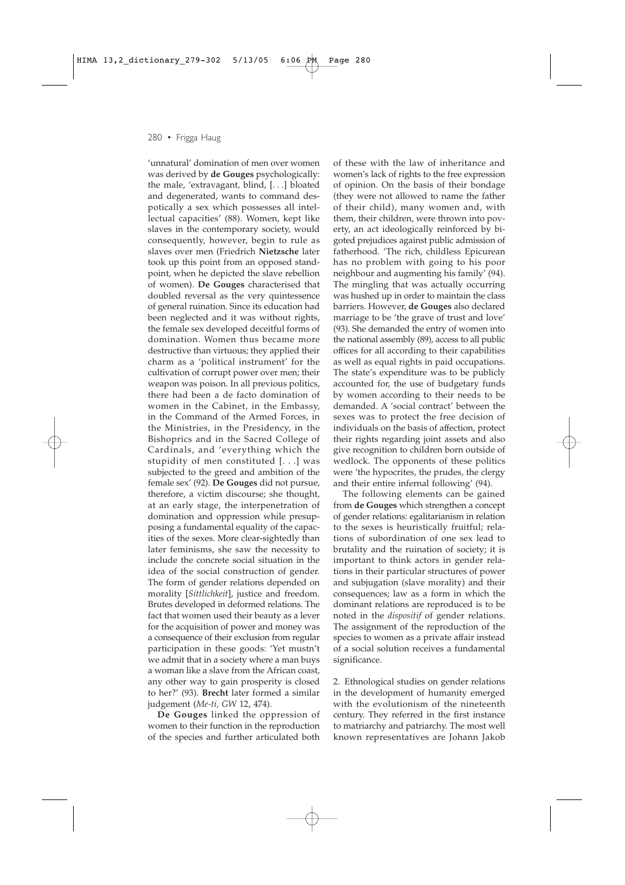'unnatural' domination of men over women was derived by **de Gouges** psychologically: the male, 'extravagant, blind, [. . .] bloated and degenerated, wants to command despotically a sex which possesses all intellectual capacities' (88). Women, kept like slaves in the contemporary society, would consequently, however, begin to rule as slaves over men (Friedrich **Nietzsche** later took up this point from an opposed standpoint, when he depicted the slave rebellion of women). **De Gouges** characterised that doubled reversal as the very quintessence of general ruination. Since its education had been neglected and it was without rights, the female sex developed deceitful forms of domination. Women thus became more destructive than virtuous; they applied their charm as a 'political instrument' for the cultivation of corrupt power over men; their weapon was poison. In all previous politics, there had been a de facto domination of women in the Cabinet, in the Embassy, in the Command of the Armed Forces, in the Ministries, in the Presidency, in the Bishoprics and in the Sacred College of Cardinals, and 'everything which the stupidity of men constituted [. . .] was subjected to the greed and ambition of the female sex' (92). **De Gouges** did not pursue, therefore, a victim discourse; she thought, at an early stage, the interpenetration of domination and oppression while presupposing a fundamental equality of the capacities of the sexes. More clear-sightedly than later feminisms, she saw the necessity to include the concrete social situation in the idea of the social construction of gender. The form of gender relations depended on morality [*Sittlichkeit*], justice and freedom. Brutes developed in deformed relations. The fact that women used their beauty as a lever for the acquisition of power and money was a consequence of their exclusion from regular participation in these goods: 'Yet mustn't we admit that in a society where a man buys a woman like a slave from the African coast, any other way to gain prosperity is closed to her?' (93). **Brecht** later formed a similar judgement (*Me-ti, GW* 12, 474).

**De Gouges** linked the oppression of women to their function in the reproduction of the species and further articulated both of these with the law of inheritance and women's lack of rights to the free expression of opinion. On the basis of their bondage (they were not allowed to name the father of their child), many women and, with them, their children, were thrown into poverty, an act ideologically reinforced by bigoted prejudices against public admission of fatherhood. 'The rich, childless Epicurean has no problem with going to his poor neighbour and augmenting his family' (94). The mingling that was actually occurring was hushed up in order to maintain the class barriers. However, **de Gouges** also declared marriage to be 'the grave of trust and love' (93). She demanded the entry of women into the national assembly (89), access to all public offices for all according to their capabilities as well as equal rights in paid occupations. The state's expenditure was to be publicly accounted for, the use of budgetary funds by women according to their needs to be demanded. A 'social contract' between the sexes was to protect the free decision of individuals on the basis of affection, protect their rights regarding joint assets and also give recognition to children born outside of wedlock. The opponents of these politics were 'the hypocrites, the prudes, the clergy and their entire infernal following' (94).

The following elements can be gained from **de Gouges** which strengthen a concept of gender relations: egalitarianism in relation to the sexes is heuristically fruitful; relations of subordination of one sex lead to brutality and the ruination of society; it is important to think actors in gender relations in their particular structures of power and subjugation (slave morality) and their consequences; law as a form in which the dominant relations are reproduced is to be noted in the *dispositif* of gender relations. The assignment of the reproduction of the species to women as a private affair instead of a social solution receives a fundamental significance.

2. Ethnological studies on gender relations in the development of humanity emerged with the evolutionism of the nineteenth century. They referred in the first instance to matriarchy and patriarchy. The most well known representatives are Johann Jakob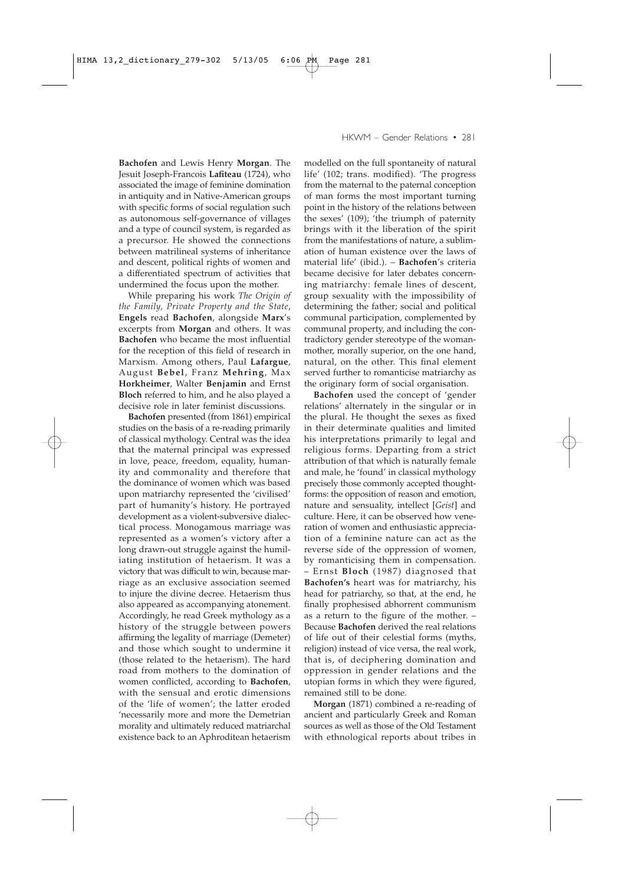**Bachofen** and Lewis Henry **Morgan**. The Jesuit Joseph-Francois **Lafiteau** (1724), who associated the image of feminine domination in antiquity and in Native-American groups with specific forms of social regulation such as autonomous self-governance of villages and a type of council system, is regarded as a precursor. He showed the connections between matrilineal systems of inheritance and descent, political rights of women and a differentiated spectrum of activities that undermined the focus upon the mother.

While preparing his work *The Origin of the Family, Private Property and the State*, **Engels** read **Bachofen**, alongside **Marx**'s excerpts from **Morgan** and others. It was **Bachofen** who became the most influential for the reception of this field of research in Marxism. Among others, Paul **Lafargue**, August **Bebel**, Franz **Mehring**, Max **Horkheimer**, Walter **Benjamin** and Ernst **Bloch** referred to him, and he also played a decisive role in later feminist discussions.

**Bachofen** presented (from 1861) empirical studies on the basis of a re-reading primarily of classical mythology. Central was the idea that the maternal principal was expressed in love, peace, freedom, equality, humanity and commonality and therefore that the dominance of women which was based upon matriarchy represented the 'civilised' part of humanity's history. He portrayed development as a violent-subversive dialectical process. Monogamous marriage was represented as a women's victory after a long drawn-out struggle against the humiliating institution of hetaerism. It was a victory that was difficult to win, because marriage as an exclusive association seemed to injure the divine decree. Hetaerism thus also appeared as accompanying atonement. Accordingly, he read Greek mythology as a history of the struggle between powers affirming the legality of marriage (Demeter) and those which sought to undermine it (those related to the hetaerism). The hard road from mothers to the domination of women conflicted, according to **Bachofen**, with the sensual and erotic dimensions of the 'life of women'; the latter eroded 'necessarily more and more the Demetrian morality and ultimately reduced matriarchal existence back to an Aphroditean hetaerism

HKWM – Gender Relations • 281

modelled on the full spontaneity of natural life' (102; trans. modified). 'The progress from the maternal to the paternal conception of man forms the most important turning point in the history of the relations between the sexes' (109); 'the triumph of paternity brings with it the liberation of the spirit from the manifestations of nature, a sublimation of human existence over the laws of material life' (ibid.). – **Bachofen**'s criteria became decisive for later debates concerning matriarchy: female lines of descent, group sexuality with the impossibility of determining the father; social and political communal participation, complemented by communal property, and including the contradictory gender stereotype of the womanmother, morally superior, on the one hand, natural, on the other. This final element served further to romanticise matriarchy as the originary form of social organisation.

**Bachofen** used the concept of 'gender relations' alternately in the singular or in the plural. He thought the sexes as fixed in their determinate qualities and limited his interpretations primarily to legal and religious forms. Departing from a strict attribution of that which is naturally female and male, he 'found' in classical mythology precisely those commonly accepted thoughtforms: the opposition of reason and emotion, nature and sensuality, intellect [*Geist*] and culture. Here, it can be observed how veneration of women and enthusiastic appreciation of a feminine nature can act as the reverse side of the oppression of women, by romanticising them in compensation. – Ernst **Bloch** (1987) diagnosed that **Bachofen's** heart was for matriarchy, his head for patriarchy, so that, at the end, he finally prophesised abhorrent communism as a return to the figure of the mother. – Because **Bachofen** derived the real relations of life out of their celestial forms (myths, religion) instead of vice versa, the real work, that is, of deciphering domination and oppression in gender relations and the utopian forms in which they were figured, remained still to be done.

**Morgan** (1871) combined a re-reading of ancient and particularly Greek and Roman sources as well as those of the Old Testament with ethnological reports about tribes in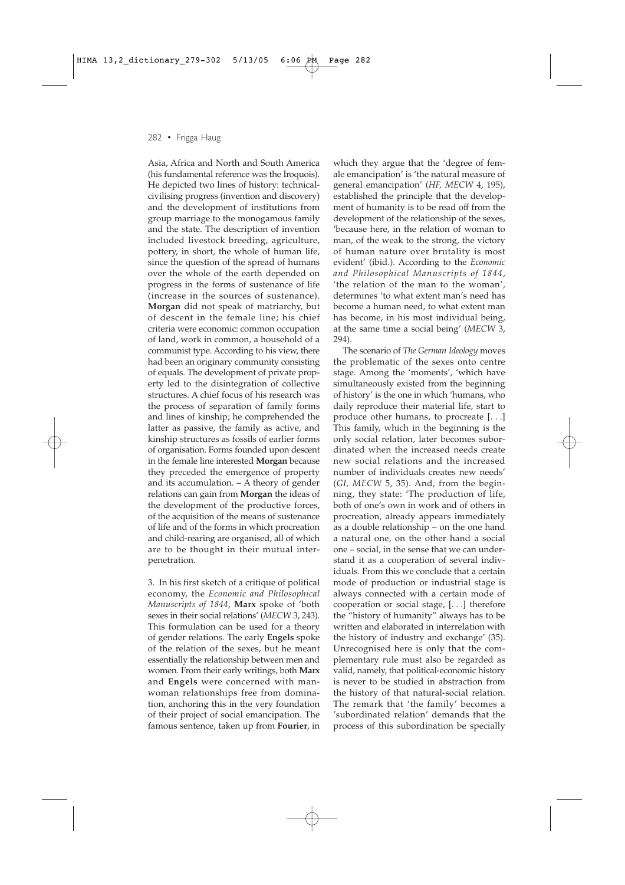Asia, Africa and North and South America (his fundamental reference was the Iroquois). He depicted two lines of history: technicalcivilising progress (invention and discovery) and the development of institutions from group marriage to the monogamous family and the state. The description of invention included livestock breeding, agriculture, pottery, in short, the whole of human life, since the question of the spread of humans over the whole of the earth depended on progress in the forms of sustenance of life (increase in the sources of sustenance). **Morgan** did not speak of matriarchy, but of descent in the female line; his chief criteria were economic: common occupation of land, work in common, a household of a communist type. According to his view, there had been an originary community consisting of equals. The development of private property led to the disintegration of collective structures. A chief focus of his research was the process of separation of family forms and lines of kinship; he comprehended the latter as passive, the family as active, and kinship structures as fossils of earlier forms of organisation. Forms founded upon descent in the female line interested **Morgan** because they preceded the emergence of property and its accumulation. – A theory of gender relations can gain from **Morgan** the ideas of the development of the productive forces, of the acquisition of the means of sustenance of life and of the forms in which procreation and child-rearing are organised, all of which are to be thought in their mutual interpenetration.

3. In his first sketch of a critique of political economy, the *Economic and Philosophical Manuscripts of 1844*, **Marx** spoke of 'both sexes in their social relations' (*MECW* 3, 243). This formulation can be used for a theory of gender relations. The early **Engels** spoke of the relation of the sexes, but he meant essentially the relationship between men and women. From their early writings, both **Marx** and **Engels** were concerned with manwoman relationships free from domination, anchoring this in the very foundation of their project of social emancipation. The famous sentence, taken up from **Fourier**, in which they argue that the 'degree of female emancipation' is 'the natural measure of general emancipation' (*HF, MECW* 4, 195), established the principle that the development of humanity is to be read off from the development of the relationship of the sexes, 'because here, in the relation of woman to man, of the weak to the strong, the victory of human nature over brutality is most evident' (ibid.). According to the *Economic and Philosophical Manuscripts of 1844*, 'the relation of the man to the woman', determines 'to what extent man's need has become a human need, to what extent man has become, in his most individual being, at the same time a social being' (*MECW* 3, 294).

The scenario of *The German Ideology* moves the problematic of the sexes onto centre stage. Among the 'moments', 'which have simultaneously existed from the beginning of history' is the one in which 'humans, who daily reproduce their material life, start to produce other humans, to procreate [. . .] This family, which in the beginning is the only social relation, later becomes subordinated when the increased needs create new social relations and the increased number of individuals creates new needs' (*GI, MECW* 5, 35). And, from the beginning, they state: 'The production of life, both of one's own in work and of others in procreation, already appears immediately as a double relationship – on the one hand a natural one, on the other hand a social one – social, in the sense that we can understand it as a cooperation of several individuals. From this we conclude that a certain mode of production or industrial stage is always connected with a certain mode of cooperation or social stage, [. . .] therefore the "history of humanity" always has to be written and elaborated in interrelation with the history of industry and exchange' (35). Unrecognised here is only that the complementary rule must also be regarded as valid, namely, that political-economic history is never to be studied in abstraction from the history of that natural-social relation. The remark that 'the family' becomes a 'subordinated relation' demands that the process of this subordination be specially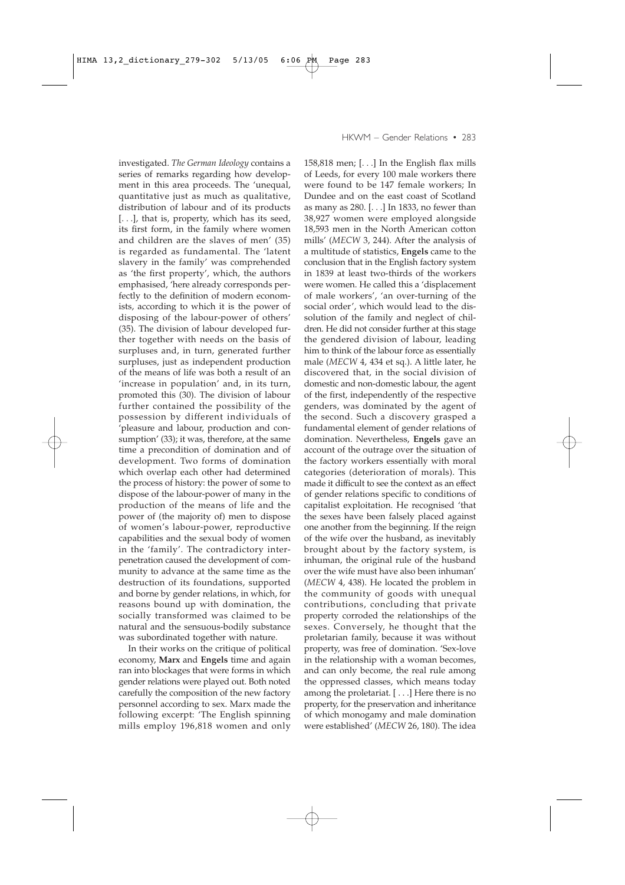investigated. *The German Ideology* contains a series of remarks regarding how development in this area proceeds. The 'unequal, quantitative just as much as qualitative, distribution of labour and of its products [...], that is, property, which has its seed, its first form, in the family where women and children are the slaves of men' (35) is regarded as fundamental. The 'latent slavery in the family' was comprehended as 'the first property', which, the authors emphasised, 'here already corresponds perfectly to the definition of modern economists, according to which it is the power of disposing of the labour-power of others' (35). The division of labour developed further together with needs on the basis of surpluses and, in turn, generated further surpluses, just as independent production of the means of life was both a result of an 'increase in population' and, in its turn, promoted this (30). The division of labour further contained the possibility of the possession by different individuals of 'pleasure and labour, production and consumption' (33); it was, therefore, at the same time a precondition of domination and of development. Two forms of domination which overlap each other had determined the process of history: the power of some to dispose of the labour-power of many in the production of the means of life and the power of (the majority of) men to dispose of women's labour-power, reproductive capabilities and the sexual body of women in the 'family'. The contradictory interpenetration caused the development of community to advance at the same time as the destruction of its foundations, supported and borne by gender relations, in which, for reasons bound up with domination, the socially transformed was claimed to be natural and the sensuous-bodily substance was subordinated together with nature.

In their works on the critique of political economy, **Marx** and **Engels** time and again ran into blockages that were forms in which gender relations were played out. Both noted carefully the composition of the new factory personnel according to sex. Marx made the following excerpt: 'The English spinning mills employ 196,818 women and only

HKWM – Gender Relations • 283

158,818 men; [. . .] In the English flax mills of Leeds, for every 100 male workers there were found to be 147 female workers; In Dundee and on the east coast of Scotland as many as 280. [. . .] In 1833, no fewer than 38,927 women were employed alongside 18,593 men in the North American cotton mills' (*MECW* 3, 244). After the analysis of a multitude of statistics, **Engels** came to the conclusion that in the English factory system in 1839 at least two-thirds of the workers were women. He called this a 'displacement of male workers', 'an over-turning of the social order', which would lead to the dissolution of the family and neglect of children. He did not consider further at this stage the gendered division of labour, leading him to think of the labour force as essentially male (*MECW* 4, 434 et sq.). A little later, he discovered that, in the social division of domestic and non-domestic labour, the agent of the first, independently of the respective genders, was dominated by the agent of the second. Such a discovery grasped a fundamental element of gender relations of domination. Nevertheless, **Engels** gave an account of the outrage over the situation of the factory workers essentially with moral categories (deterioration of morals). This made it difficult to see the context as an effect of gender relations specific to conditions of capitalist exploitation. He recognised 'that the sexes have been falsely placed against one another from the beginning. If the reign of the wife over the husband, as inevitably brought about by the factory system, is inhuman, the original rule of the husband over the wife must have also been inhuman' (*MECW* 4, 438). He located the problem in the community of goods with unequal contributions, concluding that private property corroded the relationships of the sexes. Conversely, he thought that the proletarian family, because it was without property, was free of domination. 'Sex-love in the relationship with a woman becomes, and can only become, the real rule among the oppressed classes, which means today among the proletariat. [ . . .] Here there is no property, for the preservation and inheritance of which monogamy and male domination were established' (*MECW* 26, 180). The idea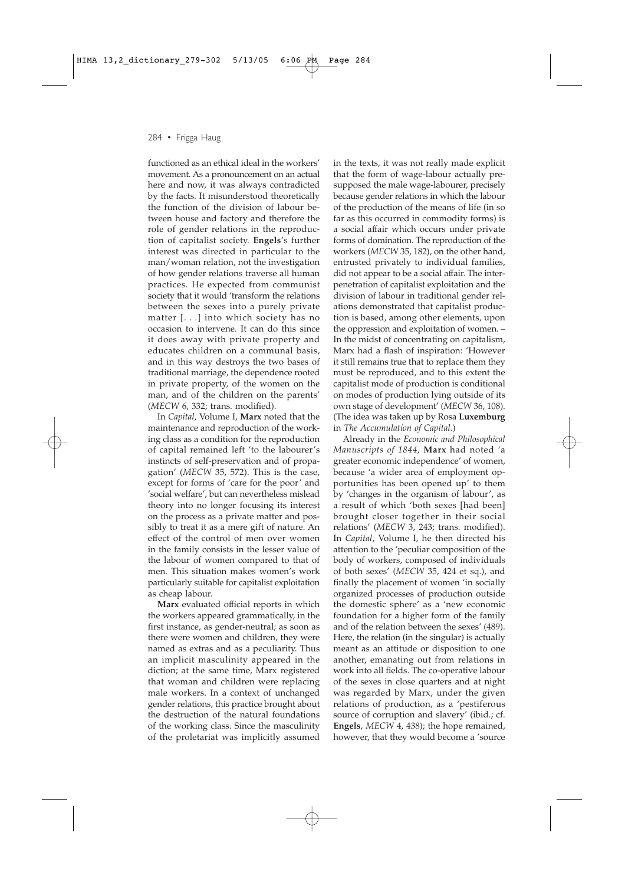functioned as an ethical ideal in the workers' movement. As a pronouncement on an actual here and now, it was always contradicted by the facts. It misunderstood theoretically the function of the division of labour between house and factory and therefore the role of gender relations in the reproduction of capitalist society. **Engels**'s further interest was directed in particular to the man/woman relation, not the investigation of how gender relations traverse all human practices. He expected from communist society that it would 'transform the relations between the sexes into a purely private matter [. . .] into which society has no occasion to intervene. It can do this since it does away with private property and educates children on a communal basis, and in this way destroys the two bases of traditional marriage, the dependence rooted in private property, of the women on the man, and of the children on the parents' (*MECW* 6, 332; trans. modified).

In *Capital*, Volume I, **Marx** noted that the maintenance and reproduction of the working class as a condition for the reproduction of capital remained left 'to the labourer's instincts of self-preservation and of propagation' (*MECW* 35, 572). This is the case, except for forms of 'care for the poor' and 'social welfare', but can nevertheless mislead theory into no longer focusing its interest on the process as a private matter and possibly to treat it as a mere gift of nature. An effect of the control of men over women in the family consists in the lesser value of the labour of women compared to that of men. This situation makes women's work particularly suitable for capitalist exploitation as cheap labour.

**Marx** evaluated official reports in which the workers appeared grammatically, in the first instance, as gender-neutral; as soon as there were women and children, they were named as extras and as a peculiarity. Thus an implicit masculinity appeared in the diction; at the same time, Marx registered that woman and children were replacing male workers. In a context of unchanged gender relations, this practice brought about the destruction of the natural foundations of the working class. Since the masculinity of the proletariat was implicitly assumed

in the texts, it was not really made explicit that the form of wage-labour actually presupposed the male wage-labourer, precisely because gender relations in which the labour of the production of the means of life (in so far as this occurred in commodity forms) is a social affair which occurs under private forms of domination. The reproduction of the workers (*MECW* 35, 182), on the other hand, entrusted privately to individual families, did not appear to be a social affair. The interpenetration of capitalist exploitation and the division of labour in traditional gender relations demonstrated that capitalist production is based, among other elements, upon the oppression and exploitation of women. – In the midst of concentrating on capitalism, Marx had a flash of inspiration: 'However it still remains true that to replace them they must be reproduced, and to this extent the capitalist mode of production is conditional on modes of production lying outside of its own stage of development' (*MECW* 36, 108). (The idea was taken up by Rosa **Luxemburg** in *The Accumulation of Capital*.)

Already in the *Economic and Philosophical Manuscripts of 1844*, **Marx** had noted 'a greater economic independence' of women, because 'a wider area of employment opportunities has been opened up' to them by 'changes in the organism of labour', as a result of which 'both sexes [had been] brought closer together in their social relations' (*MECW* 3, 243; trans. modified). In *Capital*, Volume I, he then directed his attention to the 'peculiar composition of the body of workers, composed of individuals of both sexes' (*MECW* 35, 424 et sq.), and finally the placement of women 'in socially organized processes of production outside the domestic sphere' as a 'new economic foundation for a higher form of the family and of the relation between the sexes' (489). Here, the relation (in the singular) is actually meant as an attitude or disposition to one another, emanating out from relations in work into all fields. The co-operative labour of the sexes in close quarters and at night was regarded by Marx, under the given relations of production, as a 'pestiferous source of corruption and slavery' (ibid.; cf. **Engels**, *MECW* 4, 438); the hope remained, however, that they would become a 'source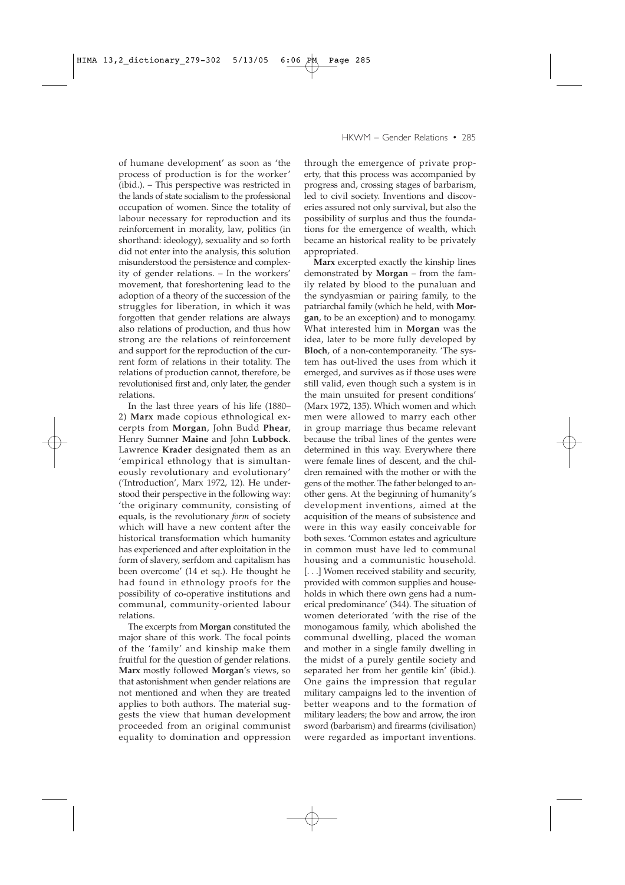of humane development' as soon as 'the process of production is for the worker' (ibid.). – This perspective was restricted in the lands of state socialism to the professional occupation of women. Since the totality of labour necessary for reproduction and its reinforcement in morality, law, politics (in shorthand: ideology), sexuality and so forth did not enter into the analysis, this solution misunderstood the persistence and complexity of gender relations. – In the workers' movement, that foreshortening lead to the adoption of a theory of the succession of the struggles for liberation, in which it was forgotten that gender relations are always also relations of production, and thus how strong are the relations of reinforcement and support for the reproduction of the current form of relations in their totality. The relations of production cannot, therefore, be revolutionised first and, only later, the gender relations.

In the last three years of his life (1880– 2) **Marx** made copious ethnological excerpts from **Morgan**, John Budd **Phear**, Henry Sumner **Maine** and John **Lubbock**. Lawrence **Krader** designated them as an 'empirical ethnology that is simultaneously revolutionary and evolutionary' ('Introduction', Marx 1972, 12). He understood their perspective in the following way: 'the originary community, consisting of equals, is the revolutionary *form* of society which will have a new content after the historical transformation which humanity has experienced and after exploitation in the form of slavery, serfdom and capitalism has been overcome' (14 et sq.). He thought he had found in ethnology proofs for the possibility of co-operative institutions and communal, community-oriented labour relations.

The excerpts from **Morgan** constituted the major share of this work. The focal points of the 'family' and kinship make them fruitful for the question of gender relations. **Marx** mostly followed **Morgan**'s views, so that astonishment when gender relations are not mentioned and when they are treated applies to both authors. The material suggests the view that human development proceeded from an original communist equality to domination and oppression

### HKWM – Gender Relations • 285

through the emergence of private property, that this process was accompanied by progress and, crossing stages of barbarism, led to civil society. Inventions and discoveries assured not only survival, but also the possibility of surplus and thus the foundations for the emergence of wealth, which became an historical reality to be privately appropriated.

**Marx** excerpted exactly the kinship lines demonstrated by **Morgan** – from the family related by blood to the punaluan and the syndyasmian or pairing family, to the patriarchal family (which he held, with **Morgan**, to be an exception) and to monogamy. What interested him in **Morgan** was the idea, later to be more fully developed by **Bloch**, of a non-contemporaneity. 'The system has out-lived the uses from which it emerged, and survives as if those uses were still valid, even though such a system is in the main unsuited for present conditions' (Marx 1972, 135). Which women and which men were allowed to marry each other in group marriage thus became relevant because the tribal lines of the gentes were determined in this way. Everywhere there were female lines of descent, and the children remained with the mother or with the gens of the mother. The father belonged to another gens. At the beginning of humanity's development inventions, aimed at the acquisition of the means of subsistence and were in this way easily conceivable for both sexes. 'Common estates and agriculture in common must have led to communal housing and a communistic household. [...] Women received stability and security, provided with common supplies and households in which there own gens had a numerical predominance' (344). The situation of women deteriorated 'with the rise of the monogamous family, which abolished the communal dwelling, placed the woman and mother in a single family dwelling in the midst of a purely gentile society and separated her from her gentile kin' (ibid.). One gains the impression that regular military campaigns led to the invention of better weapons and to the formation of military leaders; the bow and arrow, the iron sword (barbarism) and firearms (civilisation) were regarded as important inventions.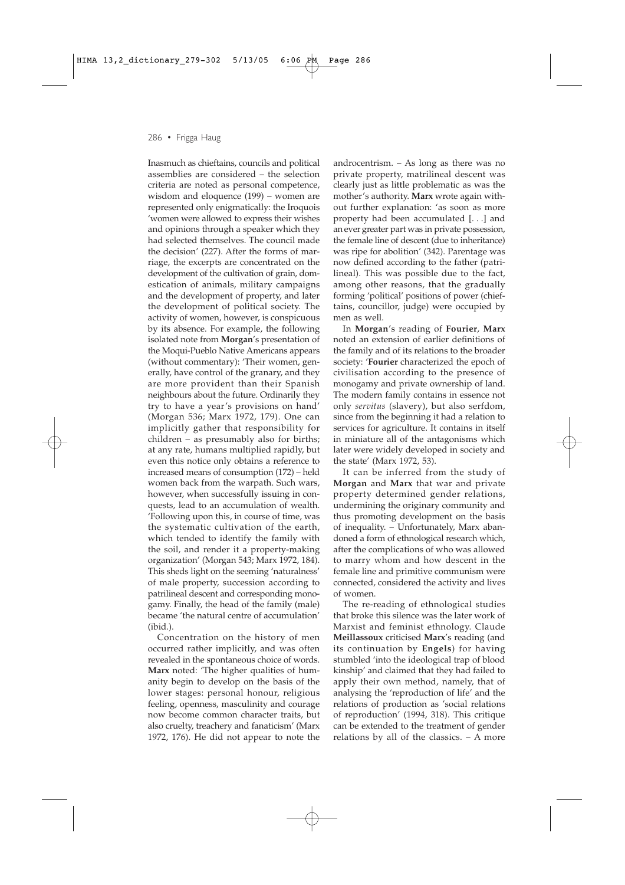Inasmuch as chieftains, councils and political assemblies are considered – the selection criteria are noted as personal competence, wisdom and eloquence (199) – women are represented only enigmatically: the Iroquois 'women were allowed to express their wishes and opinions through a speaker which they had selected themselves. The council made the decision' (227). After the forms of marriage, the excerpts are concentrated on the development of the cultivation of grain, domestication of animals, military campaigns and the development of property, and later the development of political society. The activity of women, however, is conspicuous by its absence. For example, the following isolated note from **Morgan**'s presentation of the Moqui-Pueblo Native Americans appears (without commentary): 'Their women, generally, have control of the granary, and they are more provident than their Spanish neighbours about the future. Ordinarily they try to have a year's provisions on hand' (Morgan 536; Marx 1972, 179). One can implicitly gather that responsibility for children – as presumably also for births; at any rate, humans multiplied rapidly, but even this notice only obtains a reference to increased means of consumption (172) – held women back from the warpath. Such wars, however, when successfully issuing in conquests, lead to an accumulation of wealth. 'Following upon this, in course of time, was the systematic cultivation of the earth, which tended to identify the family with the soil, and render it a property-making organization' (Morgan 543; Marx 1972, 184). This sheds light on the seeming 'naturalness' of male property, succession according to patrilineal descent and corresponding monogamy. Finally, the head of the family (male) became 'the natural centre of accumulation' (ibid.).

Concentration on the history of men occurred rather implicitly, and was often revealed in the spontaneous choice of words. **Marx** noted: 'The higher qualities of humanity begin to develop on the basis of the lower stages: personal honour, religious feeling, openness, masculinity and courage now become common character traits, but also cruelty, treachery and fanaticism' (Marx 1972, 176). He did not appear to note the

androcentrism. – As long as there was no private property, matrilineal descent was clearly just as little problematic as was the mother's authority. **Marx** wrote again without further explanation: 'as soon as more property had been accumulated [. . .] and an ever greater part was in private possession, the female line of descent (due to inheritance) was ripe for abolition' (342). Parentage was now defined according to the father (patrilineal). This was possible due to the fact, among other reasons, that the gradually forming 'political' positions of power (chieftains, councillor, judge) were occupied by men as well.

In **Morgan**'s reading of **Fourier**, **Marx** noted an extension of earlier definitions of the family and of its relations to the broader society: '**Fourier** characterized the epoch of civilisation according to the presence of monogamy and private ownership of land. The modern family contains in essence not only *servitus* (slavery), but also serfdom, since from the beginning it had a relation to services for agriculture. It contains in itself in miniature all of the antagonisms which later were widely developed in society and the state' (Marx 1972, 53).

It can be inferred from the study of **Morgan** and **Marx** that war and private property determined gender relations, undermining the originary community and thus promoting development on the basis of inequality. – Unfortunately, Marx abandoned a form of ethnological research which, after the complications of who was allowed to marry whom and how descent in the female line and primitive communism were connected, considered the activity and lives of women.

The re-reading of ethnological studies that broke this silence was the later work of Marxist and feminist ethnology. Claude **Meillassoux** criticised **Marx**'s reading (and its continuation by **Engels**) for having stumbled 'into the ideological trap of blood kinship' and claimed that they had failed to apply their own method, namely, that of analysing the 'reproduction of life' and the relations of production as 'social relations of reproduction' (1994, 318). This critique can be extended to the treatment of gender relations by all of the classics. – A more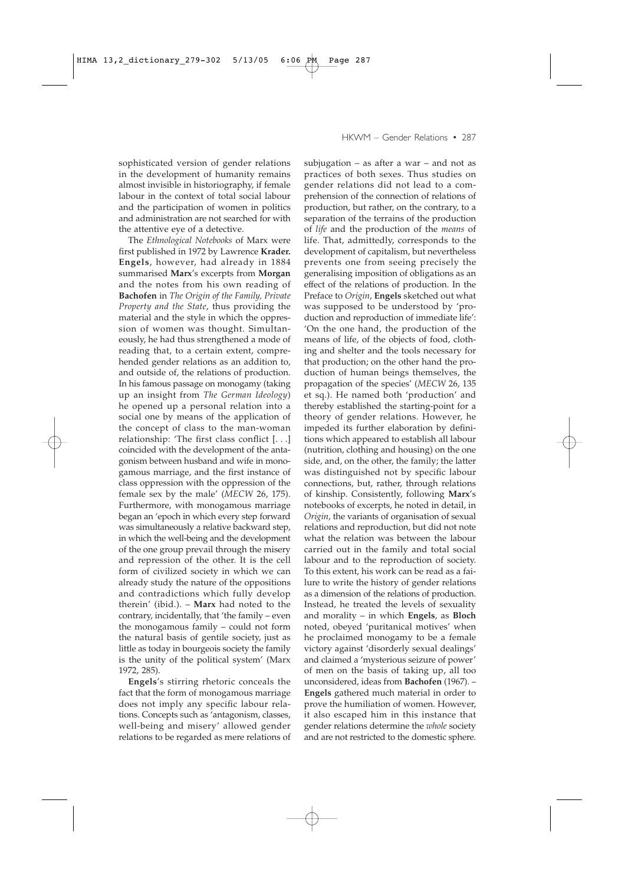sophisticated version of gender relations in the development of humanity remains almost invisible in historiography, if female labour in the context of total social labour and the participation of women in politics and administration are not searched for with the attentive eye of a detective.

The *Ethnological Notebooks* of Marx were first published in 1972 by Lawrence **Krader. Engels**, however, had already in 1884 summarised **Marx**'s excerpts from **Morgan** and the notes from his own reading of **Bachofen** in *The Origin of the Family, Private Property and the State*, thus providing the material and the style in which the oppression of women was thought. Simultaneously, he had thus strengthened a mode of reading that, to a certain extent, comprehended gender relations as an addition to, and outside of, the relations of production. In his famous passage on monogamy (taking up an insight from *The German Ideology*) he opened up a personal relation into a social one by means of the application of the concept of class to the man-woman relationship: 'The first class conflict [. . .] coincided with the development of the antagonism between husband and wife in monogamous marriage, and the first instance of class oppression with the oppression of the female sex by the male' (*MECW* 26, 175). Furthermore, with monogamous marriage began an 'epoch in which every step forward was simultaneously a relative backward step, in which the well-being and the development of the one group prevail through the misery and repression of the other. It is the cell form of civilized society in which we can already study the nature of the oppositions and contradictions which fully develop therein' (ibid.). – **Marx** had noted to the contrary, incidentally, that 'the family – even the monogamous family – could not form the natural basis of gentile society, just as little as today in bourgeois society the family is the unity of the political system' (Marx 1972, 285).

**Engels**'s stirring rhetoric conceals the fact that the form of monogamous marriage does not imply any specific labour relations. Concepts such as 'antagonism, classes, well-being and misery' allowed gender relations to be regarded as mere relations of HKWM – Gender Relations • 287

subjugation – as after a war – and not as practices of both sexes. Thus studies on gender relations did not lead to a comprehension of the connection of relations of production, but rather, on the contrary, to a separation of the terrains of the production of *life* and the production of the *means* of life. That, admittedly, corresponds to the development of capitalism, but nevertheless prevents one from seeing precisely the generalising imposition of obligations as an effect of the relations of production. In the Preface to *Origin*, **Engels** sketched out what was supposed to be understood by 'production and reproduction of immediate life': 'On the one hand, the production of the means of life, of the objects of food, clothing and shelter and the tools necessary for that production; on the other hand the production of human beings themselves, the propagation of the species' (*MECW* 26, 135 et sq.). He named both 'production' and thereby established the starting-point for a theory of gender relations. However, he impeded its further elaboration by definitions which appeared to establish all labour (nutrition, clothing and housing) on the one side, and, on the other, the family; the latter was distinguished not by specific labour connections, but, rather, through relations of kinship. Consistently, following **Marx**'s notebooks of excerpts, he noted in detail, in *Origin*, the variants of organisation of sexual relations and reproduction, but did not note what the relation was between the labour carried out in the family and total social labour and to the reproduction of society. To this extent, his work can be read as a failure to write the history of gender relations as a dimension of the relations of production. Instead, he treated the levels of sexuality and morality – in which **Engels**, as **Bloch** noted, obeyed 'puritanical motives' when he proclaimed monogamy to be a female victory against 'disorderly sexual dealings' and claimed a 'mysterious seizure of power' of men on the basis of taking up, all too unconsidered, ideas from **Bachofen** (1967). – **Engels** gathered much material in order to prove the humiliation of women. However, it also escaped him in this instance that gender relations determine the *whole* society and are not restricted to the domestic sphere.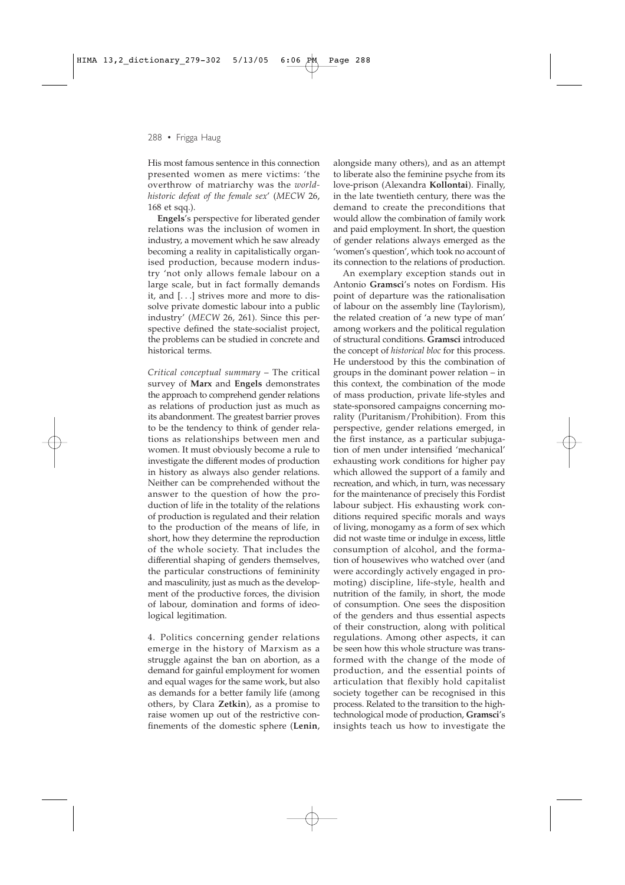His most famous sentence in this connection presented women as mere victims: 'the overthrow of matriarchy was the *worldhistoric defeat of the female sex*' (*MECW* 26, 168 et sqq.).

**Engels**'s perspective for liberated gender relations was the inclusion of women in industry, a movement which he saw already becoming a reality in capitalistically organised production, because modern industry 'not only allows female labour on a large scale, but in fact formally demands it, and [. . .] strives more and more to dissolve private domestic labour into a public industry' (*MECW* 26, 261). Since this perspective defined the state-socialist project, the problems can be studied in concrete and historical terms.

*Critical conceptual summary* – The critical survey of **Marx** and **Engels** demonstrates the approach to comprehend gender relations as relations of production just as much as its abandonment. The greatest barrier proves to be the tendency to think of gender relations as relationships between men and women. It must obviously become a rule to investigate the different modes of production in history as always also gender relations. Neither can be comprehended without the answer to the question of how the production of life in the totality of the relations of production is regulated and their relation to the production of the means of life, in short, how they determine the reproduction of the whole society. That includes the differential shaping of genders themselves, the particular constructions of femininity and masculinity, just as much as the development of the productive forces, the division of labour, domination and forms of ideological legitimation.

4. Politics concerning gender relations emerge in the history of Marxism as a struggle against the ban on abortion, as a demand for gainful employment for women and equal wages for the same work, but also as demands for a better family life (among others, by Clara **Zetkin**), as a promise to raise women up out of the restrictive confinements of the domestic sphere (**Lenin**,

alongside many others), and as an attempt to liberate also the feminine psyche from its love-prison (Alexandra **Kollontai**). Finally, in the late twentieth century, there was the demand to create the preconditions that would allow the combination of family work and paid employment. In short, the question of gender relations always emerged as the 'women's question', which took no account of its connection to the relations of production.

An exemplary exception stands out in Antonio **Gramsci**'s notes on Fordism. His point of departure was the rationalisation of labour on the assembly line (Taylorism), the related creation of 'a new type of man' among workers and the political regulation of structural conditions. **Gramsci** introduced the concept of *historical bloc* for this process. He understood by this the combination of groups in the dominant power relation – in this context, the combination of the mode of mass production, private life-styles and state-sponsored campaigns concerning morality (Puritanism/Prohibition). From this perspective, gender relations emerged, in the first instance, as a particular subjugation of men under intensified 'mechanical' exhausting work conditions for higher pay which allowed the support of a family and recreation, and which, in turn, was necessary for the maintenance of precisely this Fordist labour subject. His exhausting work conditions required specific morals and ways of living, monogamy as a form of sex which did not waste time or indulge in excess, little consumption of alcohol, and the formation of housewives who watched over (and were accordingly actively engaged in promoting) discipline, life-style, health and nutrition of the family, in short, the mode of consumption. One sees the disposition of the genders and thus essential aspects of their construction, along with political regulations. Among other aspects, it can be seen how this whole structure was transformed with the change of the mode of production, and the essential points of articulation that flexibly hold capitalist society together can be recognised in this process. Related to the transition to the hightechnological mode of production, **Gramsci**'s insights teach us how to investigate the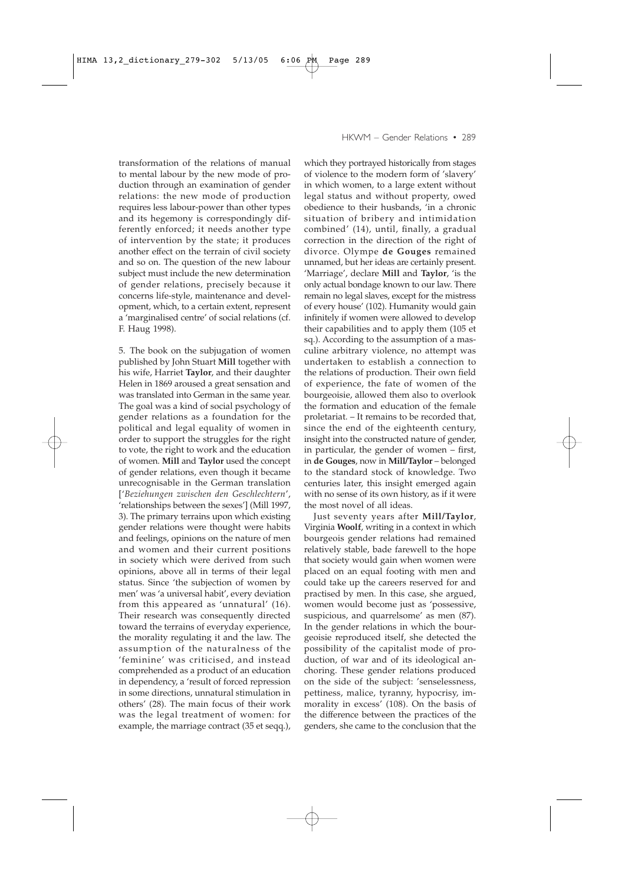transformation of the relations of manual to mental labour by the new mode of production through an examination of gender relations: the new mode of production requires less labour-power than other types and its hegemony is correspondingly differently enforced; it needs another type of intervention by the state; it produces another effect on the terrain of civil society and so on. The question of the new labour subject must include the new determination of gender relations, precisely because it concerns life-style, maintenance and development, which, to a certain extent, represent a 'marginalised centre' of social relations (cf. F. Haug 1998).

5. The book on the subjugation of women published by John Stuart **Mill** together with his wife, Harriet **Taylor**, and their daughter Helen in 1869 aroused a great sensation and was translated into German in the same year. The goal was a kind of social psychology of gender relations as a foundation for the political and legal equality of women in order to support the struggles for the right to vote, the right to work and the education of women. **Mill** and **Taylor** used the concept of gender relations, even though it became unrecognisable in the German translation ['*Beziehungen zwischen den Geschlechtern*', 'relationships between the sexes'] (Mill 1997, 3). The primary terrains upon which existing gender relations were thought were habits and feelings, opinions on the nature of men and women and their current positions in society which were derived from such opinions, above all in terms of their legal status. Since 'the subjection of women by men' was 'a universal habit', every deviation from this appeared as 'unnatural' (16). Their research was consequently directed toward the terrains of everyday experience, the morality regulating it and the law. The assumption of the naturalness of the 'feminine' was criticised, and instead comprehended as a product of an education in dependency, a 'result of forced repression in some directions, unnatural stimulation in others' (28). The main focus of their work was the legal treatment of women: for example, the marriage contract (35 et seqq.),

HKWM – Gender Relations • 289

which they portrayed historically from stages of violence to the modern form of 'slavery' in which women, to a large extent without legal status and without property, owed obedience to their husbands, 'in a chronic situation of bribery and intimidation combined' (14), until, finally, a gradual correction in the direction of the right of divorce. Olympe **de Gouges** remained unnamed, but her ideas are certainly present. 'Marriage', declare **Mill** and **Taylor**, 'is the only actual bondage known to our law. There remain no legal slaves, except for the mistress of every house' (102). Humanity would gain infinitely if women were allowed to develop their capabilities and to apply them (105 et sq.). According to the assumption of a masculine arbitrary violence, no attempt was undertaken to establish a connection to the relations of production. Their own field of experience, the fate of women of the bourgeoisie, allowed them also to overlook the formation and education of the female proletariat. – It remains to be recorded that, since the end of the eighteenth century, insight into the constructed nature of gender, in particular, the gender of women – first, in **de Gouges**, now in **Mill/Taylor** – belonged to the standard stock of knowledge. Two centuries later, this insight emerged again with no sense of its own history, as if it were the most novel of all ideas.

Just seventy years after **Mill/Taylor**, Virginia **Woolf**, writing in a context in which bourgeois gender relations had remained relatively stable, bade farewell to the hope that society would gain when women were placed on an equal footing with men and could take up the careers reserved for and practised by men. In this case, she argued, women would become just as 'possessive, suspicious, and quarrelsome' as men (87). In the gender relations in which the bourgeoisie reproduced itself, she detected the possibility of the capitalist mode of production, of war and of its ideological anchoring. These gender relations produced on the side of the subject: 'senselessness, pettiness, malice, tyranny, hypocrisy, immorality in excess' (108). On the basis of the difference between the practices of the genders, she came to the conclusion that the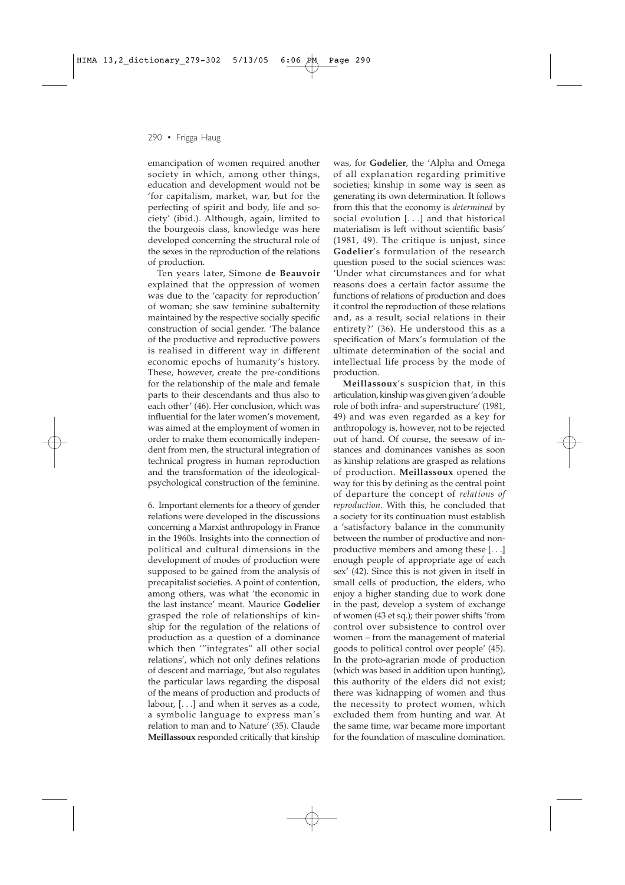emancipation of women required another society in which, among other things, education and development would not be 'for capitalism, market, war, but for the perfecting of spirit and body, life and society' (ibid.). Although, again, limited to the bourgeois class, knowledge was here developed concerning the structural role of the sexes in the reproduction of the relations of production.

Ten years later, Simone **de Beauvoir** explained that the oppression of women was due to the 'capacity for reproduction' of woman; she saw feminine subalternity maintained by the respective socially specific construction of social gender. 'The balance of the productive and reproductive powers is realised in different way in different economic epochs of humanity's history. These, however, create the pre-conditions for the relationship of the male and female parts to their descendants and thus also to each other' (46). Her conclusion, which was influential for the later women's movement, was aimed at the employment of women in order to make them economically independent from men, the structural integration of technical progress in human reproduction and the transformation of the ideologicalpsychological construction of the feminine.

6. Important elements for a theory of gender relations were developed in the discussions concerning a Marxist anthropology in France in the 1960s. Insights into the connection of political and cultural dimensions in the development of modes of production were supposed to be gained from the analysis of precapitalist societies. A point of contention, among others, was what 'the economic in the last instance' meant. Maurice **Godelier** grasped the role of relationships of kinship for the regulation of the relations of production as a question of a dominance which then '"integrates" all other social relations', which not only defines relations of descent and marriage, 'but also regulates the particular laws regarding the disposal of the means of production and products of labour, [. . .] and when it serves as a code, a symbolic language to express man's relation to man and to Nature' (35). Claude **Meillassoux** responded critically that kinship

was, for **Godelier**, the 'Alpha and Omega of all explanation regarding primitive societies; kinship in some way is seen as generating its own determination. It follows from this that the economy is *determined* by social evolution [. . .] and that historical materialism is left without scientific basis' (1981, 49). The critique is unjust, since **Godelier**'s formulation of the research question posed to the social sciences was: 'Under what circumstances and for what reasons does a certain factor assume the functions of relations of production and does it control the reproduction of these relations and, as a result, social relations in their entirety?' (36). He understood this as a specification of Marx's formulation of the ultimate determination of the social and intellectual life process by the mode of production.

**Meillassoux**'s suspicion that, in this articulation, kinship was given given 'a double role of both infra- and superstructure' (1981, 49) and was even regarded as a key for anthropology is, however, not to be rejected out of hand. Of course, the seesaw of instances and dominances vanishes as soon as kinship relations are grasped as relations of production. **Meillassoux** opened the way for this by defining as the central point of departure the concept of *relations of reproduction*. With this, he concluded that a society for its continuation must establish a 'satisfactory balance in the community between the number of productive and nonproductive members and among these [. . .] enough people of appropriate age of each sex' (42). Since this is not given in itself in small cells of production, the elders, who enjoy a higher standing due to work done in the past, develop a system of exchange of women (43 et sq.); their power shifts 'from control over subsistence to control over women – from the management of material goods to political control over people' (45). In the proto-agrarian mode of production (which was based in addition upon hunting), this authority of the elders did not exist; there was kidnapping of women and thus the necessity to protect women, which excluded them from hunting and war. At the same time, war became more important for the foundation of masculine domination.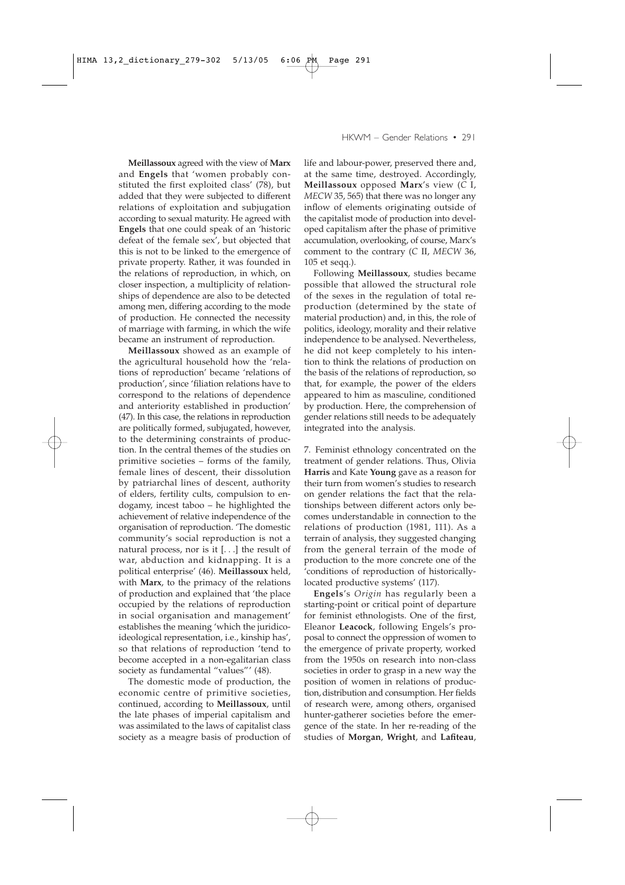**Meillassoux** agreed with the view of **Marx** and **Engels** that 'women probably constituted the first exploited class' (78), but added that they were subjected to different relations of exploitation and subjugation according to sexual maturity. He agreed with **Engels** that one could speak of an 'historic defeat of the female sex', but objected that this is not to be linked to the emergence of private property. Rather, it was founded in the relations of reproduction, in which, on closer inspection, a multiplicity of relationships of dependence are also to be detected among men, differing according to the mode of production. He connected the necessity of marriage with farming, in which the wife became an instrument of reproduction.

**Meillassoux** showed as an example of the agricultural household how the 'relations of reproduction' became 'relations of production', since 'filiation relations have to correspond to the relations of dependence and anteriority established in production' (47). In this case, the relations in reproduction are politically formed, subjugated, however, to the determining constraints of production. In the central themes of the studies on primitive societies – forms of the family, female lines of descent, their dissolution by patriarchal lines of descent, authority of elders, fertility cults, compulsion to endogamy, incest taboo – he highlighted the achievement of relative independence of the organisation of reproduction. 'The domestic community's social reproduction is not a natural process, nor is it [. . .] the result of war, abduction and kidnapping. It is a political enterprise' (46). **Meillassoux** held, with **Marx**, to the primacy of the relations of production and explained that 'the place occupied by the relations of reproduction in social organisation and management' establishes the meaning 'which the juridicoideological representation, i.e., kinship has', so that relations of reproduction 'tend to become accepted in a non-egalitarian class society as fundamental "values"' (48).

The domestic mode of production, the economic centre of primitive societies, continued, according to **Meillassoux**, until the late phases of imperial capitalism and was assimilated to the laws of capitalist class society as a meagre basis of production of

## HKWM – Gender Relations • 291

life and labour-power, preserved there and, at the same time, destroyed. Accordingly, **Meillassoux** opposed **Marx**'s view (*C* I, *MECW* 35, 565) that there was no longer any inflow of elements originating outside of the capitalist mode of production into developed capitalism after the phase of primitive accumulation, overlooking, of course, Marx's comment to the contrary (*C* II, *MECW* 36, 105 et seqq.).

Following **Meillassoux**, studies became possible that allowed the structural role of the sexes in the regulation of total reproduction (determined by the state of material production) and, in this, the role of politics, ideology, morality and their relative independence to be analysed. Nevertheless, he did not keep completely to his intention to think the relations of production on the basis of the relations of reproduction, so that, for example, the power of the elders appeared to him as masculine, conditioned by production. Here, the comprehension of gender relations still needs to be adequately integrated into the analysis.

7. Feminist ethnology concentrated on the treatment of gender relations. Thus, Olivia **Harris** and Kate **Young** gave as a reason for their turn from women's studies to research on gender relations the fact that the relationships between different actors only becomes understandable in connection to the relations of production (1981, 111). As a terrain of analysis, they suggested changing from the general terrain of the mode of production to the more concrete one of the 'conditions of reproduction of historicallylocated productive systems' (117).

**Engels**'s *Origin* has regularly been a starting-point or critical point of departure for feminist ethnologists. One of the first, Eleanor **Leacock**, following Engels's proposal to connect the oppression of women to the emergence of private property, worked from the 1950s on research into non-class societies in order to grasp in a new way the position of women in relations of production, distribution and consumption. Her fields of research were, among others, organised hunter-gatherer societies before the emergence of the state. In her re-reading of the studies of **Morgan**, **Wright**, and **Lafiteau**,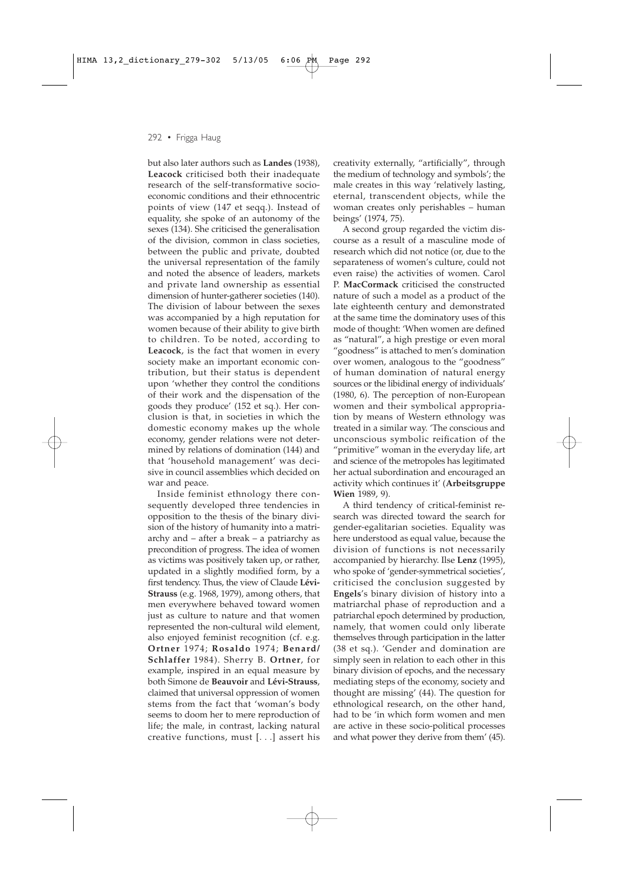but also later authors such as **Landes** (1938), **Leacock** criticised both their inadequate research of the self-transformative socioeconomic conditions and their ethnocentric points of view (147 et seqq.). Instead of equality, she spoke of an autonomy of the sexes (134). She criticised the generalisation of the division, common in class societies, between the public and private, doubted the universal representation of the family and noted the absence of leaders, markets and private land ownership as essential dimension of hunter-gatherer societies (140). The division of labour between the sexes was accompanied by a high reputation for women because of their ability to give birth to children. To be noted, according to **Leacock**, is the fact that women in every society make an important economic contribution, but their status is dependent upon 'whether they control the conditions of their work and the dispensation of the goods they produce' (152 et sq.). Her conclusion is that, in societies in which the domestic economy makes up the whole economy, gender relations were not determined by relations of domination (144) and that 'household management' was decisive in council assemblies which decided on war and peace.

Inside feminist ethnology there consequently developed three tendencies in opposition to the thesis of the binary division of the history of humanity into a matriarchy and – after a break – a patriarchy as precondition of progress. The idea of women as victims was positively taken up, or rather, updated in a slightly modified form, by a first tendency. Thus, the view of Claude **Lévi-Strauss** (e.g. 1968, 1979), among others, that men everywhere behaved toward women just as culture to nature and that women represented the non-cultural wild element, also enjoyed feminist recognition (cf. e.g. **Ortner** 1974; **Rosaldo** 1974; **Benard/ Schlaffer** 1984). Sherry B. **Ortner**, for example, inspired in an equal measure by both Simone de **Beauvoir** and **Lévi-Strauss**, claimed that universal oppression of women stems from the fact that 'woman's body seems to doom her to mere reproduction of life; the male, in contrast, lacking natural creative functions, must [. . .] assert his

creativity externally, "artificially", through the medium of technology and symbols'; the male creates in this way 'relatively lasting, eternal, transcendent objects, while the woman creates only perishables – human beings' (1974, 75).

A second group regarded the victim discourse as a result of a masculine mode of research which did not notice (or, due to the separateness of women's culture, could not even raise) the activities of women. Carol P. **MacCormack** criticised the constructed nature of such a model as a product of the late eighteenth century and demonstrated at the same time the dominatory uses of this mode of thought: 'When women are defined as "natural", a high prestige or even moral "goodness" is attached to men's domination over women, analogous to the "goodness" of human domination of natural energy sources or the libidinal energy of individuals' (1980, 6). The perception of non-European women and their symbolical appropriation by means of Western ethnology was treated in a similar way. 'The conscious and unconscious symbolic reification of the "primitive" woman in the everyday life, art and science of the metropoles has legitimated her actual subordination and encouraged an activity which continues it' (**Arbeitsgruppe Wien** 1989, 9).

A third tendency of critical-feminist research was directed toward the search for gender-egalitarian societies. Equality was here understood as equal value, because the division of functions is not necessarily accompanied by hierarchy. Ilse **Lenz** (1995), who spoke of 'gender-symmetrical societies', criticised the conclusion suggested by **Engels**'s binary division of history into a matriarchal phase of reproduction and a patriarchal epoch determined by production, namely, that women could only liberate themselves through participation in the latter (38 et sq.). 'Gender and domination are simply seen in relation to each other in this binary division of epochs, and the necessary mediating steps of the economy, society and thought are missing' (44). The question for ethnological research, on the other hand, had to be 'in which form women and men are active in these socio-political processes and what power they derive from them' (45).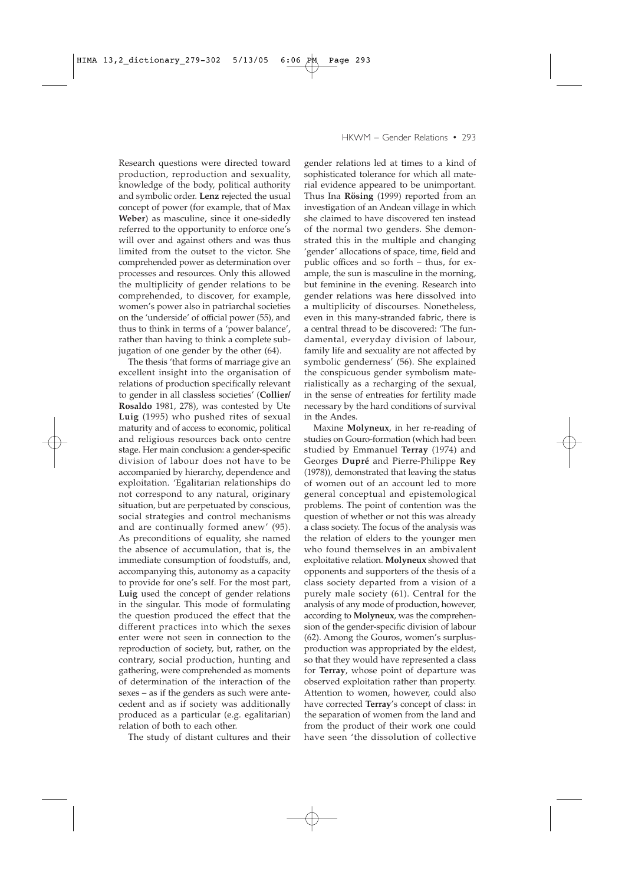Research questions were directed toward production, reproduction and sexuality, knowledge of the body, political authority and symbolic order. **Lenz** rejected the usual concept of power (for example, that of Max **Weber**) as masculine, since it one-sidedly referred to the opportunity to enforce one's will over and against others and was thus limited from the outset to the victor. She comprehended power as determination over processes and resources. Only this allowed the multiplicity of gender relations to be comprehended, to discover, for example, women's power also in patriarchal societies on the 'underside' of official power (55), and thus to think in terms of a 'power balance', rather than having to think a complete subjugation of one gender by the other (64).

The thesis 'that forms of marriage give an excellent insight into the organisation of relations of production specifically relevant to gender in all classless societies' (**Collier/ Rosaldo** 1981, 278), was contested by Ute **Luig** (1995) who pushed rites of sexual maturity and of access to economic, political and religious resources back onto centre stage. Her main conclusion: a gender-specific division of labour does not have to be accompanied by hierarchy, dependence and exploitation. 'Egalitarian relationships do not correspond to any natural, originary situation, but are perpetuated by conscious, social strategies and control mechanisms and are continually formed anew' (95). As preconditions of equality, she named the absence of accumulation, that is, the immediate consumption of foodstuffs, and, accompanying this, autonomy as a capacity to provide for one's self. For the most part, **Luig** used the concept of gender relations in the singular. This mode of formulating the question produced the effect that the different practices into which the sexes enter were not seen in connection to the reproduction of society, but, rather, on the contrary, social production, hunting and gathering, were comprehended as moments of determination of the interaction of the sexes – as if the genders as such were antecedent and as if society was additionally produced as a particular (e.g. egalitarian) relation of both to each other.

The study of distant cultures and their

## HKWM – Gender Relations • 293

gender relations led at times to a kind of sophisticated tolerance for which all material evidence appeared to be unimportant. Thus Ina **Rösing** (1999) reported from an investigation of an Andean village in which she claimed to have discovered ten instead of the normal two genders. She demonstrated this in the multiple and changing 'gender' allocations of space, time, field and public offices and so forth – thus, for example, the sun is masculine in the morning, but feminine in the evening. Research into gender relations was here dissolved into a multiplicity of discourses. Nonetheless, even in this many-stranded fabric, there is a central thread to be discovered: 'The fundamental, everyday division of labour, family life and sexuality are not affected by symbolic genderness' (56). She explained the conspicuous gender symbolism materialistically as a recharging of the sexual, in the sense of entreaties for fertility made necessary by the hard conditions of survival in the Andes.

Maxine **Molyneux**, in her re-reading of studies on Gouro-formation (which had been studied by Emmanuel **Terray** (1974) and Georges **Dupré** and Pierre-Philippe **Rey** (1978)), demonstrated that leaving the status of women out of an account led to more general conceptual and epistemological problems. The point of contention was the question of whether or not this was already a class society. The focus of the analysis was the relation of elders to the younger men who found themselves in an ambivalent exploitative relation. **Molyneux** showed that opponents and supporters of the thesis of a class society departed from a vision of a purely male society (61). Central for the analysis of any mode of production, however, according to **Molyneux**, was the comprehension of the gender-specific division of labour (62). Among the Gouros, women's surplusproduction was appropriated by the eldest, so that they would have represented a class for **Terray**, whose point of departure was observed exploitation rather than property. Attention to women, however, could also have corrected **Terray**'s concept of class: in the separation of women from the land and from the product of their work one could have seen 'the dissolution of collective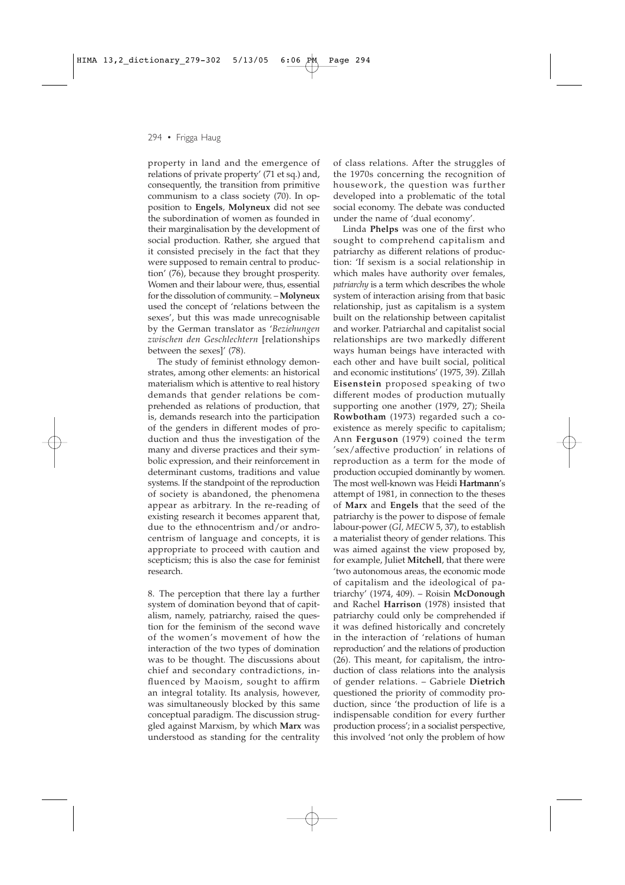property in land and the emergence of relations of private property' (71 et sq.) and, consequently, the transition from primitive communism to a class society (70). In opposition to **Engels**, **Molyneux** did not see the subordination of women as founded in their marginalisation by the development of social production. Rather, she argued that it consisted precisely in the fact that they were supposed to remain central to production' (76), because they brought prosperity. Women and their labour were, thus, essential for the dissolution of community. –**Molyneux** used the concept of 'relations between the sexes', but this was made unrecognisable by the German translator as '*Beziehungen zwischen den Geschlechtern* [relationships between the sexes]' (78).

The study of feminist ethnology demonstrates, among other elements: an historical materialism which is attentive to real history demands that gender relations be comprehended as relations of production, that is, demands research into the participation of the genders in different modes of production and thus the investigation of the many and diverse practices and their symbolic expression, and their reinforcement in determinant customs, traditions and value systems. If the standpoint of the reproduction of society is abandoned, the phenomena appear as arbitrary. In the re-reading of existing research it becomes apparent that, due to the ethnocentrism and/or androcentrism of language and concepts, it is appropriate to proceed with caution and scepticism; this is also the case for feminist research.

8. The perception that there lay a further system of domination beyond that of capitalism, namely, patriarchy, raised the question for the feminism of the second wave of the women's movement of how the interaction of the two types of domination was to be thought. The discussions about chief and secondary contradictions, influenced by Maoism, sought to affirm an integral totality. Its analysis, however, was simultaneously blocked by this same conceptual paradigm. The discussion struggled against Marxism, by which **Marx** was understood as standing for the centrality

of class relations. After the struggles of the 1970s concerning the recognition of housework, the question was further developed into a problematic of the total social economy. The debate was conducted under the name of 'dual economy'.

Linda **Phelps** was one of the first who sought to comprehend capitalism and patriarchy as different relations of production: 'If sexism is a social relationship in which males have authority over females, *patriarchy* is a term which describes the whole system of interaction arising from that basic relationship, just as capitalism is a system built on the relationship between capitalist and worker. Patriarchal and capitalist social relationships are two markedly different ways human beings have interacted with each other and have built social, political and economic institutions' (1975, 39). Zillah **Eisenstein** proposed speaking of two different modes of production mutually supporting one another (1979, 27); Sheila **Rowbotham** (1973) regarded such a coexistence as merely specific to capitalism; Ann **Ferguson** (1979) coined the term 'sex/affective production' in relations of reproduction as a term for the mode of production occupied dominantly by women. The most well-known was Heidi **Hartmann**'s attempt of 1981, in connection to the theses of **Marx** and **Engels** that the seed of the patriarchy is the power to dispose of female labour-power (*GI, MECW* 5, 37), to establish a materialist theory of gender relations. This was aimed against the view proposed by, for example, Juliet **Mitchell**, that there were 'two autonomous areas, the economic mode of capitalism and the ideological of patriarchy' (1974, 409). – Roisin **McDonough** and Rachel **Harrison** (1978) insisted that patriarchy could only be comprehended if it was defined historically and concretely in the interaction of 'relations of human reproduction' and the relations of production (26). This meant, for capitalism, the introduction of class relations into the analysis of gender relations. – Gabriele **Dietrich** questioned the priority of commodity production, since 'the production of life is a indispensable condition for every further production process'; in a socialist perspective, this involved 'not only the problem of how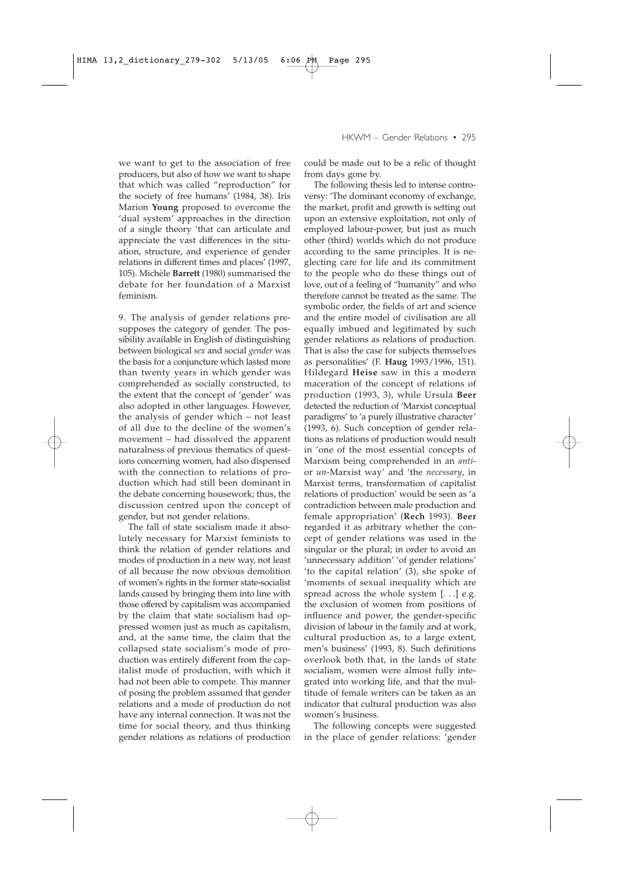we want to get to the association of free producers, but also of how we want to shape that which was called "reproduction" for the society of free humans' (1984, 38). Iris Marion **Young** proposed to overcome the 'dual system' approaches in the direction of a single theory 'that can articulate and appreciate the vast differences in the situation, structure, and experience of gender relations in different times and places' (1997, 105). Michèle **Barrett** (1980) summarised the debate for her foundation of a Marxist feminism.

9. The analysis of gender relations presupposes the category of gender. The possibility available in English of distinguishing between biological *sex* and social *gender* was the basis for a conjuncture which lasted more than twenty years in which gender was comprehended as socially constructed, to the extent that the concept of 'gender' was also adopted in other languages. However, the analysis of gender which – not least of all due to the decline of the women's movement – had dissolved the apparent naturalness of previous thematics of questions concerning women, had also dispensed with the connection to relations of production which had still been dominant in the debate concerning housework; thus, the discussion centred upon the concept of gender, but not gender relations.

The fall of state socialism made it absolutely necessary for Marxist feminists to think the relation of gender relations and modes of production in a new way, not least of all because the now obvious demolition of women's rights in the former state-socialist lands caused by bringing them into line with those offered by capitalism was accompanied by the claim that state socialism had oppressed women just as much as capitalism, and, at the same time, the claim that the collapsed state socialism's mode of production was entirely different from the capitalist mode of production, with which it had not been able to compete. This manner of posing the problem assumed that gender relations and a mode of production do not have any internal connection. It was not the time for social theory, and thus thinking gender relations as relations of production

## HKWM – Gender Relations • 295

could be made out to be a relic of thought from days gone by.

The following thesis led to intense controversy: 'The dominant economy of exchange, the market, profit and growth is setting out upon an extensive exploitation, not only of employed labour-power, but just as much other (third) worlds which do not produce according to the same principles. It is neglecting care for life and its commitment to the people who do these things out of love, out of a feeling of "humanity" and who therefore cannot be treated as the same. The symbolic order, the fields of art and science and the entire model of civilisation are all equally imbued and legitimated by such gender relations as relations of production. That is also the case for subjects themselves as personalities' (F. **Haug** 1993/1996, 151). Hildegard **Heise** saw in this a modern maceration of the concept of relations of production (1993, 3), while Ursula **Beer** detected the reduction of 'Marxist conceptual paradigms' to 'a purely illustrative character' (1993, 6). Such conception of gender relations as relations of production would result in 'one of the most essential concepts of Marxism being comprehended in an *anti*or *un*-Marxist way' and 'the *necessary*, in Marxist terms, transformation of capitalist relations of production' would be seen as 'a contradiction between male production and female appropriation' (**Rech** 1993). **Beer** regarded it as arbitrary whether the concept of gender relations was used in the singular or the plural; in order to avoid an 'unnecessary addition' 'of gender relations' 'to the capital relation' (3), she spoke of 'moments of sexual inequality which are spread across the whole system [. . .] e.g. the exclusion of women from positions of influence and power, the gender-specific division of labour in the family and at work, cultural production as, to a large extent, men's business' (1993, 8). Such definitions overlook both that, in the lands of state socialism, women were almost fully integrated into working life, and that the multitude of female writers can be taken as an indicator that cultural production was also women's business.

The following concepts were suggested in the place of gender relations: 'gender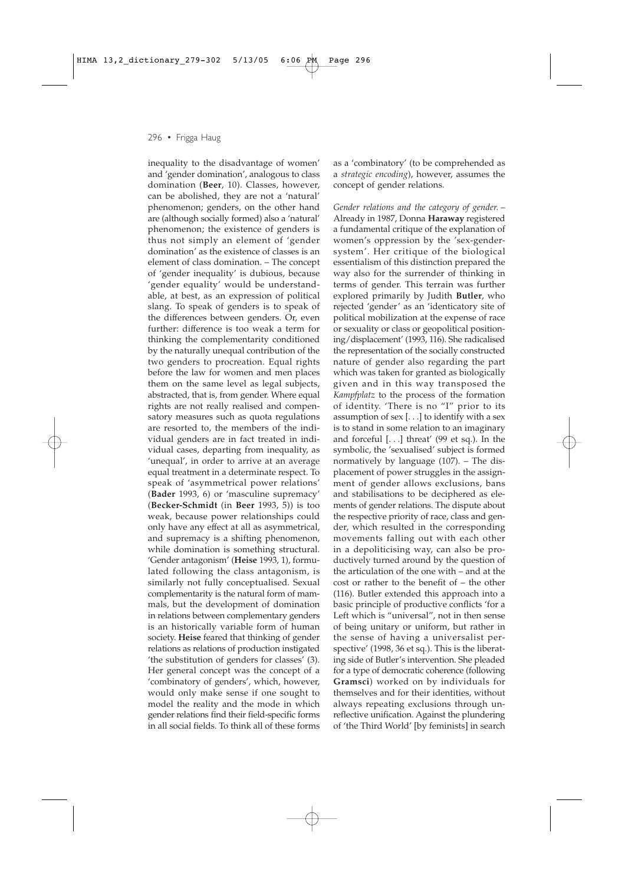inequality to the disadvantage of women' and 'gender domination', analogous to class domination (**Beer**, 10). Classes, however, can be abolished, they are not a 'natural' phenomenon; genders, on the other hand are (although socially formed) also a 'natural' phenomenon; the existence of genders is thus not simply an element of 'gender domination' as the existence of classes is an element of class domination. – The concept of 'gender inequality' is dubious, because 'gender equality' would be understandable, at best, as an expression of political slang. To speak of genders is to speak of the differences between genders. Or, even further: difference is too weak a term for thinking the complementarity conditioned by the naturally unequal contribution of the two genders to procreation. Equal rights before the law for women and men places them on the same level as legal subjects, abstracted, that is, from gender. Where equal rights are not really realised and compensatory measures such as quota regulations are resorted to, the members of the individual genders are in fact treated in individual cases, departing from inequality, as 'unequal', in order to arrive at an average equal treatment in a determinate respect. To speak of 'asymmetrical power relations' (**Bader** 1993, 6) or 'masculine supremacy' (**Becker-Schmidt** (in **Beer** 1993, 5)) is too weak, because power relationships could only have any effect at all as asymmetrical, and supremacy is a shifting phenomenon, while domination is something structural. 'Gender antagonism' (**Heise** 1993, 1), formulated following the class antagonism, is similarly not fully conceptualised. Sexual complementarity is the natural form of mammals, but the development of domination in relations between complementary genders is an historically variable form of human society. **Heise** feared that thinking of gender relations as relations of production instigated 'the substitution of genders for classes' (3). Her general concept was the concept of a 'combinatory of genders', which, however, would only make sense if one sought to model the reality and the mode in which gender relations find their field-specific forms in all social fields. To think all of these forms

as a 'combinatory' (to be comprehended as a *strategic encoding*), however, assumes the concept of gender relations.

*Gender relations and the category of gender.* – Already in 1987, Donna **Haraway** registered a fundamental critique of the explanation of women's oppression by the 'sex-gendersystem'. Her critique of the biological essentialism of this distinction prepared the way also for the surrender of thinking in terms of gender. This terrain was further explored primarily by Judith **Butler**, who rejected 'gender' as an 'identicatory site of political mobilization at the expense of race or sexuality or class or geopolitical positioning/displacement' (1993, 116). She radicalised the representation of the socially constructed nature of gender also regarding the part which was taken for granted as biologically given and in this way transposed the *Kampfplatz* to the process of the formation of identity. 'There is no "I" prior to its assumption of  $sex$   $[...]$  to identify with a sex is to stand in some relation to an imaginary and forceful [. . .] threat' (99 et sq.). In the symbolic, the 'sexualised' subject is formed normatively by language (107). – The displacement of power struggles in the assignment of gender allows exclusions, bans and stabilisations to be deciphered as elements of gender relations. The dispute about the respective priority of race, class and gender, which resulted in the corresponding movements falling out with each other in a depoliticising way, can also be productively turned around by the question of the articulation of the one with – and at the cost or rather to the benefit of – the other (116). Butler extended this approach into a basic principle of productive conflicts 'for a Left which is "universal", not in then sense of being unitary or uniform, but rather in the sense of having a universalist perspective' (1998, 36 et sq.). This is the liberating side of Butler's intervention. She pleaded for a type of democratic coherence (following **Gramsci**) worked on by individuals for themselves and for their identities, without always repeating exclusions through unreflective unification. Against the plundering of 'the Third World' [by feminists] in search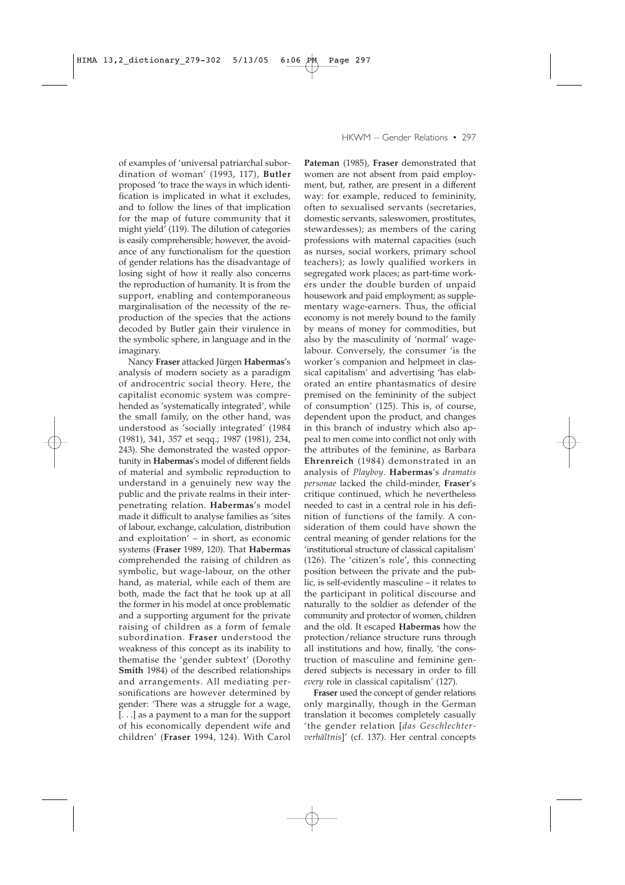of examples of 'universal patriarchal subordination of woman' (1993, 117), **Butler** proposed 'to trace the ways in which identification is implicated in what it excludes, and to follow the lines of that implication for the map of future community that it might yield' (119). The dilution of categories is easily comprehensible; however, the avoidance of any functionalism for the question of gender relations has the disadvantage of losing sight of how it really also concerns the reproduction of humanity. It is from the support, enabling and contemporaneous marginalisation of the necessity of the reproduction of the species that the actions decoded by Butler gain their virulence in the symbolic sphere, in language and in the imaginary.

Nancy **Fraser** attacked Jürgen **Habermas**'s analysis of modern society as a paradigm of androcentric social theory. Here, the capitalist economic system was comprehended as 'systematically integrated', while the small family, on the other hand, was understood as 'socially integrated' (1984 (1981), 341, 357 et seqq.; 1987 (1981), 234, 243). She demonstrated the wasted opportunity in **Habermas**'s model of different fields of material and symbolic reproduction to understand in a genuinely new way the public and the private realms in their interpenetrating relation. **Habermas**'s model made it difficult to analyse families as 'sites of labour, exchange, calculation, distribution and exploitation' – in short, as economic systems (**Fraser** 1989, 120). That **Habermas** comprehended the raising of children as symbolic, but wage-labour, on the other hand, as material, while each of them are both, made the fact that he took up at all the former in his model at once problematic and a supporting argument for the private raising of children as a form of female subordination. **Fraser** understood the weakness of this concept as its inability to thematise the 'gender subtext' (Dorothy **Smith** 1984) of the described relationships and arrangements. All mediating personifications are however determined by gender: 'There was a struggle for a wage, [. . .] as a payment to a man for the support of his economically dependent wife and children' (**Fraser** 1994, 124). With Carol HKWM – Gender Relations • 297

**Pateman** (1985), **Fraser** demonstrated that women are not absent from paid employment, but, rather, are present in a different way: for example, reduced to femininity, often to sexualised servants (secretaries, domestic servants, saleswomen, prostitutes, stewardesses); as members of the caring professions with maternal capacities (such as nurses, social workers, primary school teachers); as lowly qualified workers in segregated work places; as part-time workers under the double burden of unpaid housework and paid employment; as supplementary wage-earners. Thus, the official economy is not merely bound to the family by means of money for commodities, but also by the masculinity of 'normal' wagelabour. Conversely, the consumer 'is the worker's companion and helpmeet in classical capitalism' and advertising 'has elaborated an entire phantasmatics of desire premised on the femininity of the subject of consumption' (125). This is, of course, dependent upon the product, and changes in this branch of industry which also appeal to men come into conflict not only with the attributes of the feminine, as Barbara **Ehrenreich** (1984) demonstrated in an analysis of *Playboy*. **Habermas**'s *dramatis personae* lacked the child-minder, **Fraser**'s critique continued, which he nevertheless needed to cast in a central role in his definition of functions of the family. A consideration of them could have shown the central meaning of gender relations for the 'institutional structure of classical capitalism' (126). The 'citizen's role', this connecting position between the private and the public, is self-evidently masculine – it relates to the participant in political discourse and naturally to the soldier as defender of the community and protector of women, children and the old. It escaped **Habermas** how the protection/reliance structure runs through all institutions and how, finally, 'the construction of masculine and feminine gendered subjects is necessary in order to fill *every* role in classical capitalism' (127).

**Fraser** used the concept of gender relations only marginally, though in the German translation it becomes completely casually 'the gender relation [*das Geschlechterverhältnis*]' (cf. 137). Her central concepts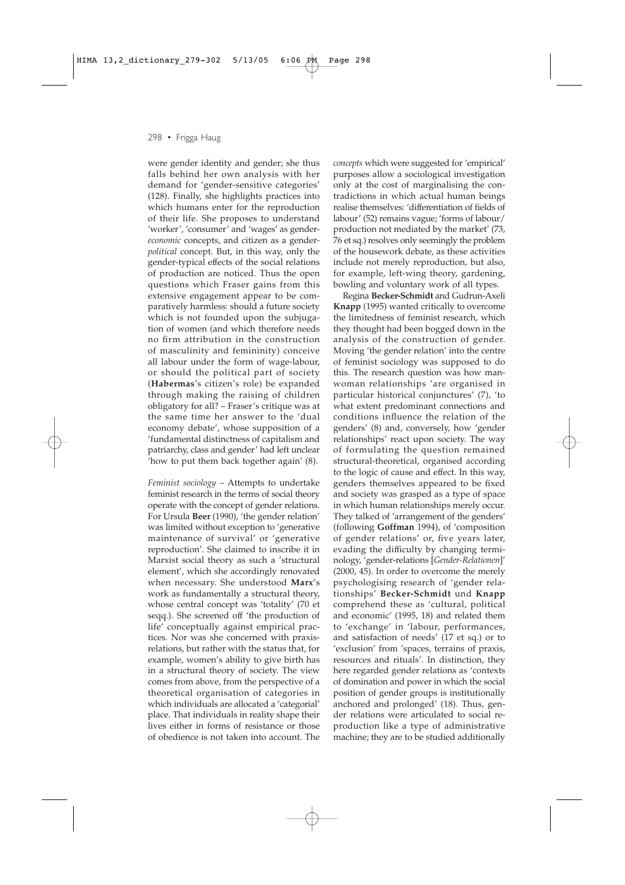were gender identity and gender; she thus falls behind her own analysis with her demand for 'gender-sensitive categories' (128). Finally, she highlights practices into which humans enter for the reproduction of their life. She proposes to understand 'worker', 'consumer' and 'wages' as gender*economic* concepts, and citizen as a gender*political* concept. But, in this way, only the gender-typical effects of the social relations of production are noticed. Thus the open questions which Fraser gains from this extensive engagement appear to be comparatively harmless: should a future society which is not founded upon the subjugation of women (and which therefore needs no firm attribution in the construction of masculinity and femininity) conceive all labour under the form of wage-labour, or should the political part of society (**Habermas**'s citizen's role) be expanded through making the raising of children obligatory for all? – Fraser's critique was at the same time her answer to the 'dual economy debate', whose supposition of a 'fundamental distinctness of capitalism and patriarchy, class and gender' had left unclear 'how to put them back together again' (8).

*Feminist sociology* – Attempts to undertake feminist research in the terms of social theory operate with the concept of gender relations. For Ursula **Beer** (1990), 'the gender relation' was limited without exception to 'generative maintenance of survival' or 'generative reproduction'. She claimed to inscribe it in Marxist social theory as such a 'structural element', which she accordingly renovated when necessary. She understood **Marx**'s work as fundamentally a structural theory, whose central concept was 'totality' (70 et seqq.). She screened off 'the production of life' conceptually against empirical practices. Nor was she concerned with praxisrelations, but rather with the status that, for example, women's ability to give birth has in a structural theory of society. The view comes from above, from the perspective of a theoretical organisation of categories in which individuals are allocated a 'categorial' place. That individuals in reality shape their lives either in forms of resistance or those of obedience is not taken into account. The

*concepts* which were suggested for 'empirical' purposes allow a sociological investigation only at the cost of marginalising the contradictions in which actual human beings realise themselves: 'differentiation of fields of labour' (52) remains vague; 'forms of labour/ production not mediated by the market' (73, 76 et sq.) resolves only seemingly the problem of the housework debate, as these activities include not merely reproduction, but also, for example, left-wing theory, gardening, bowling and voluntary work of all types.

Regina **Becker-Schmidt** and Gudrun-Axeli **Knapp** (1995) wanted critically to overcome the limitedness of feminist research, which they thought had been bogged down in the analysis of the construction of gender. Moving 'the gender relation' into the centre of feminist sociology was supposed to do this. The research question was how manwoman relationships 'are organised in particular historical conjunctures' (7), 'to what extent predominant connections and conditions influence the relation of the genders' (8) and, conversely, how 'gender relationships' react upon society. The way of formulating the question remained structural-theoretical, organised according to the logic of cause and effect. In this way, genders themselves appeared to be fixed and society was grasped as a type of space in which human relationships merely occur. They talked of 'arrangement of the genders' (following **Goffman** 1994), of 'composition of gender relations' or, five years later, evading the difficulty by changing terminology, 'gender-relations [*Gender-Relationen*]' (2000, 45). In order to overcome the merely psychologising research of 'gender relationships' **Becker-Schmidt** und **Knapp** comprehend these as 'cultural, political and economic' (1995, 18) and related them to 'exchange' in 'labour, performances, and satisfaction of needs' (17 et sq.) or to 'exclusion' from 'spaces, terrains of praxis, resources and rituals'. In distinction, they here regarded gender relations as 'contexts of domination and power in which the social position of gender groups is institutionally anchored and prolonged' (18). Thus, gender relations were articulated to social reproduction like a type of administrative machine; they are to be studied additionally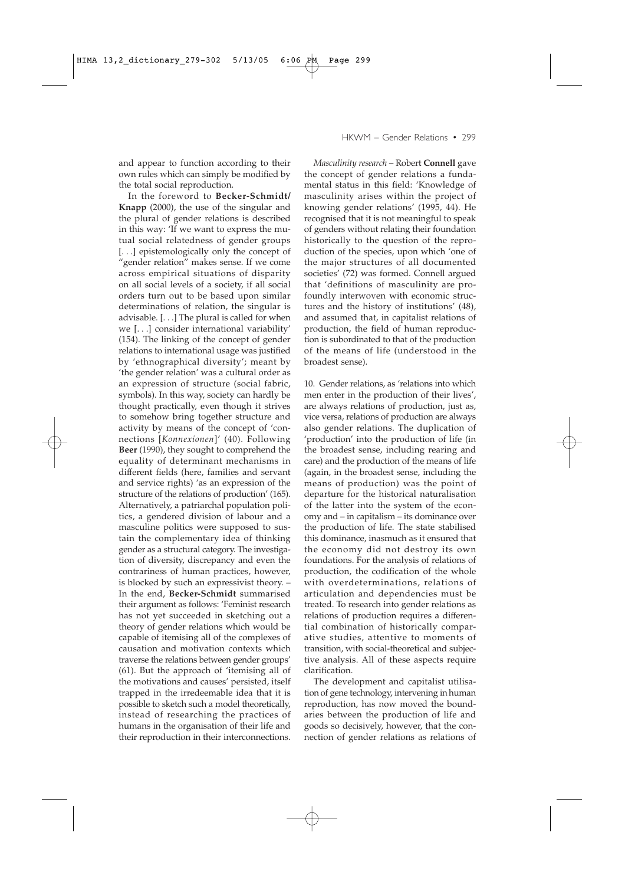and appear to function according to their own rules which can simply be modified by the total social reproduction.

In the foreword to **Becker-Schmidt/ Knapp** (2000), the use of the singular and the plural of gender relations is described in this way: 'If we want to express the mutual social relatedness of gender groups [. . .] epistemologically only the concept of "gender relation" makes sense. If we come across empirical situations of disparity on all social levels of a society, if all social orders turn out to be based upon similar determinations of relation, the singular is advisable. [. . .] The plural is called for when we [. . .] consider international variability' (154). The linking of the concept of gender relations to international usage was justified by 'ethnographical diversity'; meant by 'the gender relation' was a cultural order as an expression of structure (social fabric, symbols). In this way, society can hardly be thought practically, even though it strives to somehow bring together structure and activity by means of the concept of 'connections [*Konnexionen*]' (40). Following **Beer** (1990), they sought to comprehend the equality of determinant mechanisms in different fields (here, families and servant and service rights) 'as an expression of the structure of the relations of production' (165). Alternatively, a patriarchal population politics, a gendered division of labour and a masculine politics were supposed to sustain the complementary idea of thinking gender as a structural category. The investigation of diversity, discrepancy and even the contrariness of human practices, however, is blocked by such an expressivist theory. – In the end, **Becker-Schmidt** summarised their argument as follows: 'Feminist research has not yet succeeded in sketching out a theory of gender relations which would be capable of itemising all of the complexes of causation and motivation contexts which traverse the relations between gender groups' (61). But the approach of 'itemising all of the motivations and causes' persisted, itself trapped in the irredeemable idea that it is possible to sketch such a model theoretically, instead of researching the practices of humans in the organisation of their life and their reproduction in their interconnections.

#### HKWM – Gender Relations • 299

*Masculinity research* – Robert **Connell** gave the concept of gender relations a fundamental status in this field: 'Knowledge of masculinity arises within the project of knowing gender relations' (1995, 44). He recognised that it is not meaningful to speak of genders without relating their foundation historically to the question of the reproduction of the species, upon which 'one of the major structures of all documented societies' (72) was formed. Connell argued that 'definitions of masculinity are profoundly interwoven with economic structures and the history of institutions' (48), and assumed that, in capitalist relations of production, the field of human reproduction is subordinated to that of the production of the means of life (understood in the broadest sense).

10. Gender relations, as 'relations into which men enter in the production of their lives', are always relations of production, just as, vice versa, relations of production are always also gender relations. The duplication of 'production' into the production of life (in the broadest sense, including rearing and care) and the production of the means of life (again, in the broadest sense, including the means of production) was the point of departure for the historical naturalisation of the latter into the system of the economy and – in capitalism – its dominance over the production of life. The state stabilised this dominance, inasmuch as it ensured that the economy did not destroy its own foundations. For the analysis of relations of production, the codification of the whole with overdeterminations, relations of articulation and dependencies must be treated. To research into gender relations as relations of production requires a differential combination of historically comparative studies, attentive to moments of transition, with social-theoretical and subjective analysis. All of these aspects require clarification.

The development and capitalist utilisation of gene technology, intervening in human reproduction, has now moved the boundaries between the production of life and goods so decisively, however, that the connection of gender relations as relations of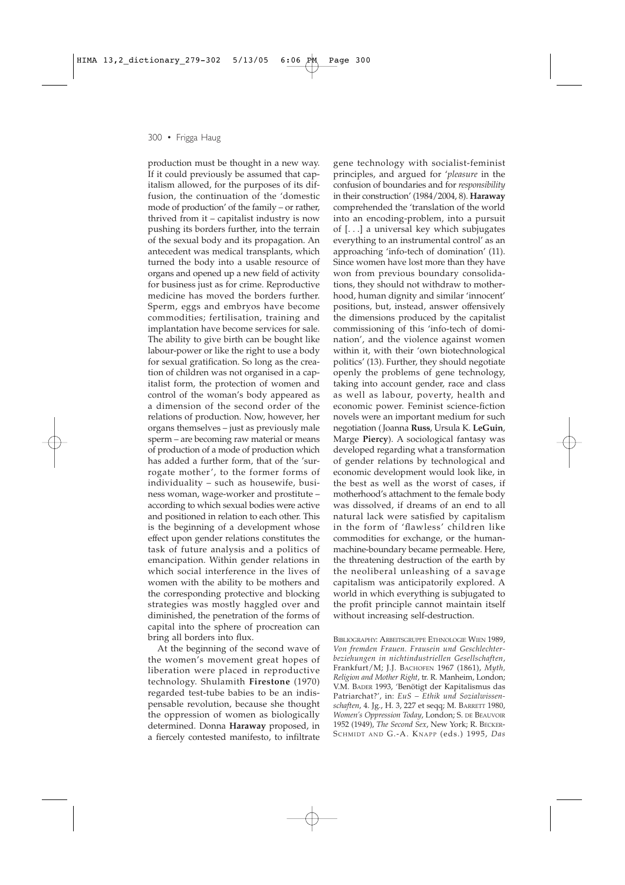production must be thought in a new way. If it could previously be assumed that capitalism allowed, for the purposes of its diffusion, the continuation of the 'domestic mode of production' of the family – or rather, thrived from it – capitalist industry is now pushing its borders further, into the terrain of the sexual body and its propagation. An antecedent was medical transplants, which turned the body into a usable resource of organs and opened up a new field of activity for business just as for crime. Reproductive medicine has moved the borders further. Sperm, eggs and embryos have become commodities; fertilisation, training and implantation have become services for sale. The ability to give birth can be bought like labour-power or like the right to use a body for sexual gratification. So long as the creation of children was not organised in a capitalist form, the protection of women and control of the woman's body appeared as a dimension of the second order of the relations of production. Now, however, her organs themselves – just as previously male sperm – are becoming raw material or means of production of a mode of production which has added a further form, that of the 'surrogate mother', to the former forms of individuality – such as housewife, business woman, wage-worker and prostitute – according to which sexual bodies were active and positioned in relation to each other. This is the beginning of a development whose effect upon gender relations constitutes the task of future analysis and a politics of emancipation. Within gender relations in which social interference in the lives of women with the ability to be mothers and the corresponding protective and blocking strategies was mostly haggled over and diminished, the penetration of the forms of capital into the sphere of procreation can bring all borders into flux.

At the beginning of the second wave of the women's movement great hopes of liberation were placed in reproductive technology. Shulamith **Firestone** (1970) regarded test-tube babies to be an indispensable revolution, because she thought the oppression of women as biologically determined. Donna **Haraway** proposed, in a fiercely contested manifesto, to infiltrate

gene technology with socialist-feminist principles, and argued for '*pleasure* in the confusion of boundaries and for *responsibility* in their construction' (1984/2004, 8). **Haraway** comprehended the 'translation of the world into an encoding-problem, into a pursuit of [. . .] a universal key which subjugates everything to an instrumental control' as an approaching 'info-tech of domination' (11). Since women have lost more than they have won from previous boundary consolidations, they should not withdraw to motherhood, human dignity and similar 'innocent' positions, but, instead, answer offensively the dimensions produced by the capitalist commissioning of this 'info-tech of domination', and the violence against women within it, with their 'own biotechnological politics' (13). Further, they should negotiate openly the problems of gene technology, taking into account gender, race and class as well as labour, poverty, health and economic power. Feminist science-fiction novels were an important medium for such negotiation ( Joanna **Russ**, Ursula K. **LeGuin**, Marge **Piercy**). A sociological fantasy was developed regarding what a transformation of gender relations by technological and economic development would look like, in the best as well as the worst of cases, if motherhood's attachment to the female body was dissolved, if dreams of an end to all natural lack were satisfied by capitalism in the form of 'flawless' children like commodities for exchange, or the humanmachine-boundary became permeable. Here, the threatening destruction of the earth by the neoliberal unleashing of a savage capitalism was anticipatorily explored. A world in which everything is subjugated to the profit principle cannot maintain itself without increasing self-destruction.

BIBLIOGRAPHY: ARBEITSGRUPPE ETHNOLOGIE WIEN 1989, *Von fremden Frauen. Frausein und Geschlechterbeziehungen in nichtindustriellen Gesellschaften*, Frankfurt/M; J.J. BACHOFEN 1967 (1861), *Myth, Religion and Mother Right*, tr. R. Manheim, London; V.M. BADER 1993, 'Benötigt der Kapitalismus das Patriarchat?', in: *EuS – Ethik und Sozialwissenschaften*, 4. Jg., H. 3, 227 et seqq; M. BARRETT 1980, *Women's Oppression Today*, London; S. DE BEAUVOIR 1952 (1949), *The Second Sex*, New York; R. BECKER-SCHMIDT AND G.-A. KNAPP (eds.) 1995, *Das*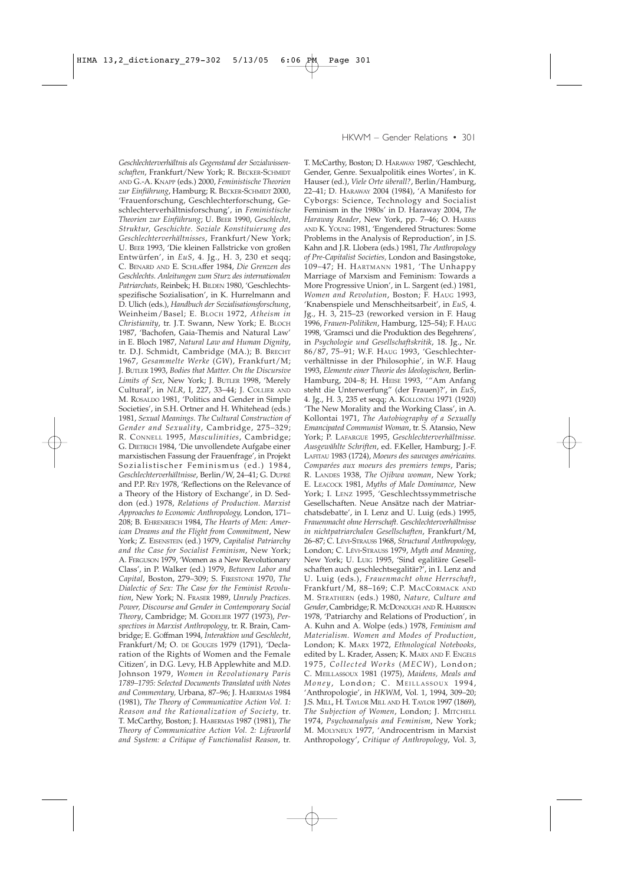*Geschlechterverhältnis als Gegenstand der Sozialwissenschaften*, Frankfurt/New York; R. BECKER-SCHMIDT AND G.-A. KNAPP (eds.) 2000, *Feministische Theorien zur Einführung*, Hamburg; R. BECKER-SCHMIDT 2000, 'Frauenforschung, Geschlechterforschung, Geschlechterverhältnisforschung', in *Feministische Theorien zur Einführung*; U. BEER 1990, *Geschlecht, Struktur, Geschichte. Soziale Konstituierung des Geschlechterverhältnisses*, Frankfurt/New York; U. BEER 1993, 'Die kleinen Fallstricke von großen Entwürfen', in *EuS*, 4. Jg., H. 3, 230 et seqq; C. BENARD AND E. SCHLAffer 1984, *Die Grenzen des Geschlechts. Anleitungen zum Sturz des internationalen Patriarchats,* Reinbek; H. BILDEN 1980, 'Geschlechtsspezifische Sozialisation', in K. Hurrelmann and D. Ulich (eds.), *Handbuch der Sozialisationsforschung*, Weinheim/Basel; E. BLOCH 1972, *Atheism in Christianity*, tr. J.T. Swann, New York; E. BLOCH 1987, 'Bachofen, Gaia-Themis and Natural Law' in E. Bloch 1987, *Natural Law and Human Dignity*, tr. D.J. Schmidt, Cambridge (MA.); B. BRECHT 1967, *Gesammelte Werke* (*GW*), Frankfurt/M; J. BUTLER 1993, *Bodies that Matter. On the Discursive Limits of Sex*, New York; J. BUTLER 1998, 'Merely Cultural', in *NLR*, I, 227, 33–44; J. COLLIER AND M. ROSALDO 1981, 'Politics and Gender in Simple Societies', in S.H. Ortner and H. Whitehead (eds.) 1981, *Sexual Meanings. The Cultural Construction of Gender and Sexuality*, Cambridge, 275–329; R. CONNELL 1995, *Masculinities*, Cambridge; G. DIETRICH 1984, 'Die unvollendete Aufgabe einer marxistischen Fassung der Frauenfrage', in Projekt Sozialistischer Feminismus (ed.) 1984, *Geschlechterverhältnisse*, Berlin/W, 24–41; G. DUPRÉ and P.P. REY 1978, 'Reflections on the Relevance of a Theory of the History of Exchange', in D. Seddon (ed.) 1978, *Relations of Production. Marxist Approaches to Economic Anthropology,* London, 171– 208; B. EHRENREICH 1984, *The Hearts of Men: American Dreams and the Flight from Commitment*, New York; Z. EISENSTEIN (ed.) 1979, *Capitalist Patriarchy and the Case for Socialist Feminism*, New York; A. FERGUSON 1979, 'Women as a New Revolutionary Class', in P. Walker (ed.) 1979, *Between Labor and Capital*, Boston, 279–309; S. FIRESTONE 1970, *The Dialectic of Sex: The Case for the Feminist Revolution*, New York; N. FRASER 1989, *Unruly Practices. Power, Discourse and Gender in Contemporary Social Theory*, Cambridge; M. GODELIER 1977 (1973), *Perspectives in Marxist Anthropology*, tr. R. Brain, Cambridge; E. GOffman 1994, *Interaktion und Geschlecht*, Frankfurt/M; O. DE GOUGES 1979 (1791), 'Declaration of the Rights of Women and the Female Citizen', in D.G. Levy, H.B Applewhite and M.D. Johnson 1979, *Women in Revolutionary Paris 1789–1795: Selected Documents Translated with Notes and Commentary,* Urbana, 87–96; J. HABERMAS 1984 (1981), *The Theory of Communicative Action Vol. 1: Reason and the Rationalization of Society,* tr. T. McCarthy, Boston; J. HABERMAS 1987 (1981), *The Theory of Communicative Action Vol. 2: Lifeworld and System: a Critique of Functionalist Reason*, tr. HKWM – Gender Relations • 301

T. McCarthy, Boston; D. HARAWAY 1987, 'Geschlecht, Gender, Genre. Sexualpolitik eines Wortes', in K. Hauser (ed.), *Viele Orte überall?*, Berlin/Hamburg, 22–41; D. HARAWAY 2004 (1984), 'A Manifesto for Cyborgs: Science, Technology and Socialist Feminism in the 1980s' in D. Haraway 2004, *The Haraway Reader*, New York, pp. 7–46; O. HARRIS AND K. YOUNG 1981, 'Engendered Structures: Some Problems in the Analysis of Reproduction', in J.S. Kahn and J.R. Llobera (eds.) 1981, *The Anthropology of Pre-Capitalist Societies,* London and Basingstoke, 109–47; H. HARTMANN 1981, 'The Unhappy Marriage of Marxism and Feminism: Towards a More Progressive Union', in L. Sargent (ed.) 1981, *Women and Revolution*, Boston; F. HAUG 1993, 'Knabenspiele und Menschheitsarbeit', in *EuS*, 4. Jg., H. 3, 215–23 (reworked version in F. Haug 1996, *Frauen*-*Politiken*, Hamburg, 125–54); F. HAUG 1998, 'Gramsci und die Produktion des Begehrens', in *Psychologie und Gesellschaftskritik*, 18. Jg., Nr. 86/87, 75–91; W.F. HAUG 1993, 'Geschlechterverhältnisse in der Philosophie', in W.F. Haug 1993, *Elemente einer Theorie des Ideologischen,* Berlin-Hamburg, 204–8; H. HEISE 1993, '"Am Anfang steht die Unterwerfung" (der Frauen)?', in *EuS*, 4. Jg., H. 3, 235 et seqq; A. KOLLONTAI 1971 (1920) 'The New Morality and the Working Class', in A. Kollontai 1971, *The Autobiography of a Sexually Emancipated Communist Woman*, tr. S. Atansio, New York; P. LAFARGUE 1995, *Geschlechterverhältnisse. Ausgewählte Schriften*, ed. F.Keller, Hamburg; J.-F. LAFITAU 1983 (1724), *Moeurs des sauvages américains. Comparées aux moeurs des premiers temps*, Paris; R. LANDES 1938, *The Ojibwa woman*, New York; E. LEACOCK 1981, *Myths of Male Dominance*, New York; I. LENZ 1995, 'Geschlechtssymmetrische Gesellschaften. Neue Ansätze nach der Matriarchatsdebatte', in I. Lenz and U. Luig (eds.) 1995, *Frauenmacht ohne Herrschaft. Geschlechterverhältnisse in nichtpatriarchalen Gesellschaften*, Frankfurt/M, 26–87; C. LÉVI-STRAUSS 1968, *Structural Anthropology*, London; C. LÉVI-STRAUSS 1979, *Myth and Meaning*, New York; U. LUIG 1995, 'Sind egalitäre Gesellschaften auch geschlechtsegalitär?', in I. Lenz and U. Luig (eds.), *Frauenmacht ohne Herrschaft*, Frankfurt/M, 88–169; C.P. MACCORMACK AND M. STRATHERN (eds.) 1980, *Nature, Culture and Gender*, Cambridge; R. MCDONOUGH AND R. HARRISON 1978, 'Patriarchy and Relations of Production', in A. Kuhn and A. Wolpe (eds.) 1978, *Feminism and Materialism. Women and Modes of Production*, London; K. MARX 1972, *Ethnological Notebooks*, edited by L. Krader, Assen; K. MARX AND F. ENGELS 1975, *Collected Works* (*MECW*), London; C. MEILLASSOUX 1981 (1975), *Maidens, Meals and Money*, London; C. MEILLASSOUX 1994, 'Anthropologie', in *HKWM*, Vol. 1, 1994, 309–20; J.S. MILL, H. TAYLOR MILL AND H. TAYLOR 1997 (1869), *The Subjection of Women*, London; J. MITCHELL 1974, *Psychoanalysis and Feminism*, New York; M. MOLYNEUX 1977, 'Androcentrism in Marxist Anthropology', *Critique of Anthropology*, Vol. 3,